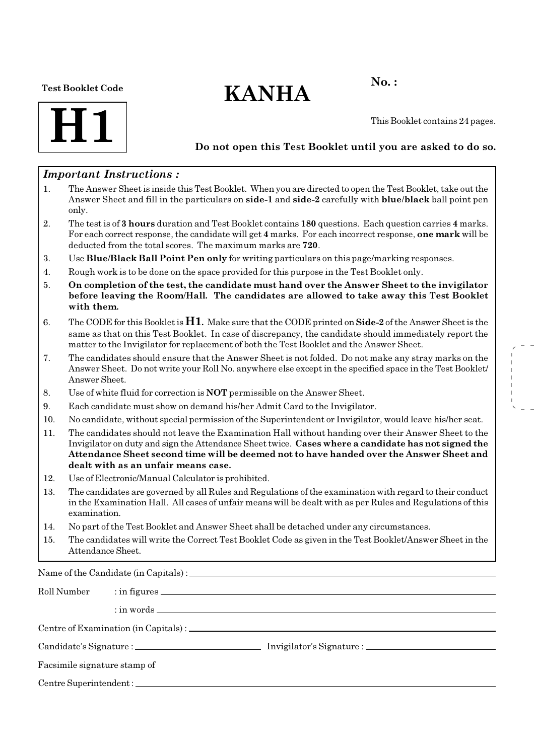#### Test Booklet Code

# $KANHA$ <sup>No.:</sup>



This Booklet contains 24 pages.

### Do not open this Test Booklet until you are asked to do so.

### Important Instructions :

- 1. The Answer Sheet is inside this Test Booklet. When you are directed to open the Test Booklet, take out the Answer Sheet and fill in the particulars on side-1 and side-2 carefully with blue/black ball point pen only.
- 2. The test is of 3 hours duration and Test Booklet contains 180 questions. Each question carries 4 marks. For each correct response, the candidate will get 4 marks. For each incorrect response, one mark will be deducted from the total scores. The maximum marks are 720.
- 3. Use Blue/Black Ball Point Pen only for writing particulars on this page/marking responses.
- 4. Rough work is to be done on the space provided for this purpose in the Test Booklet only.
- 5. On completion of the test, the candidate must hand over the Answer Sheet to the invigilator before leaving the Room/Hall. The candidates are allowed to take away this Test Booklet with them.
- 6. The CODE for this Booklet is  $H1$ . Make sure that the CODE printed on **Side-2** of the Answer Sheet is the same as that on this Test Booklet. In case of discrepancy, the candidate should immediately report the matter to the Invigilator for replacement of both the Test Booklet and the Answer Sheet.
- 7. The candidates should ensure that the Answer Sheet is not folded. Do not make any stray marks on the Answer Sheet. Do not write your Roll No. anywhere else except in the specified space in the Test Booklet/ Answer Sheet.
- 8. Use of white fluid for correction is NOT permissible on the Answer Sheet.
- 9. Each candidate must show on demand his/her Admit Card to the Invigilator.
- 10. No candidate, without special permission of the Superintendent or Invigilator, would leave his/her seat.
- 11. The candidates should not leave the Examination Hall without handing over their Answer Sheet to the Invigilator on duty and sign the Attendance Sheet twice. Cases where a candidate has not signed the Attendance Sheet second time will be deemed not to have handed over the Answer Sheet and dealt with as an unfair means case.
- 12. Use of Electronic/Manual Calculator is prohibited.
- 13. The candidates are governed by all Rules and Regulations of the examination with regard to their conduct in the Examination Hall. All cases of unfair means will be dealt with as per Rules and Regulations of this examination.
- 14. No part of the Test Booklet and Answer Sheet shall be detached under any circumstances.
- 15. The candidates will write the Correct Test Booklet Code as given in the Test Booklet/Answer Sheet in the Attendance Sheet.

Name of the Candidate (in Capitals) :

| Roll Number                  |  |  |  |  |  |
|------------------------------|--|--|--|--|--|
|                              |  |  |  |  |  |
|                              |  |  |  |  |  |
|                              |  |  |  |  |  |
| Facsimile signature stamp of |  |  |  |  |  |
|                              |  |  |  |  |  |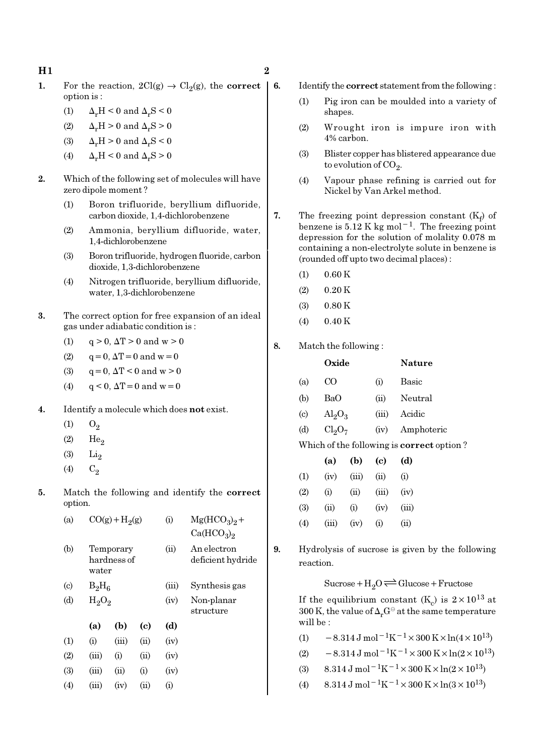- 1. For the reaction,  $2Cl(g) \rightarrow Cl_2(g)$ , the **correct** option is :
	- (1)  $\Delta_r H < 0$  and  $\Delta_r S < 0$
	- (2)  $\Delta_r H > 0$  and  $\Delta_r S > 0$
	- (3)  $\Delta_r H > 0$  and  $\Delta_r S < 0$
	- (4)  $\Delta_r H \leq 0$  and  $\Delta_r S \geq 0$
- 2. Which of the following set of molecules will have zero dipole moment ?
	- (1) Boron trifluoride, beryllium difluoride, carbon dioxide, 1,4-dichlorobenzene
	- (2) Ammonia, beryllium difluoride, water, 1,4-dichlorobenzene
	- (3) Boron trifluoride, hydrogen fluoride, carbon dioxide, 1,3-dichlorobenzene
	- (4) Nitrogen trifluoride, beryllium difluoride, water, 1,3-dichlorobenzene
- 3. The correct option for free expansion of an ideal gas under adiabatic condition is :
	- (1)  $q > 0$ ,  $\Delta T > 0$  and  $w > 0$
	- (2)  $q = 0, \Delta T = 0$  and  $w = 0$
	- (3)  $q = 0, \Delta T < 0$  and  $w > 0$
	- (4)  $q < 0$ ,  $\Delta T = 0$  and  $w = 0$
- 4. Identify a molecule which does not exist.
	- $(1)$   $O_2$
	- $(2)$  He<sub>2</sub>
	- $(3)$  Li<sub>2</sub>
	- (4)  $C_2$
- 5. Match the following and identify the correct option.

| (a)                       |          | $CO(g) + H2(g)$          |      | (i)   | $Mg(HCO3)2 +$                      |
|---------------------------|----------|--------------------------|------|-------|------------------------------------|
|                           |          |                          |      |       | Ca(HCO <sub>3</sub> ) <sub>2</sub> |
| (b)                       | water    | Temporary<br>hardness of |      | (ii)  | An electron<br>deficient hydride   |
| $\left( \text{c} \right)$ | $B_2H_6$ |                          |      | (iii) | Synthesis gas                      |
| (d)                       | $H_2O_2$ |                          |      | (iv)  | Non-planar<br>structure            |
|                           | (a)      | (b)                      | (c)  | (d)   |                                    |
| (1)                       | (i)      | (iii)                    | (ii) | (iv)  |                                    |
| (2)                       | (iii)    | (i)                      | (ii) | (iv)  |                                    |
| (3)                       | (iii)    | (ii)                     | (i)  | (iv)  |                                    |
| (4)                       | (iii)    | (iv)                     | (ii) | (i)   |                                    |

- 6. Identify the correct statement from the following :
	- (1) Pig iron can be moulded into a variety of shapes.
	- (2) Wrought iron is impure iron with 4% carbon.
	- (3) Blister copper has blistered appearance due to evolution of CO<sub>2</sub>.
	- (4) Vapour phase refining is carried out for Nickel by Van Arkel method.
	- 7. The freezing point depression constant  $(K_f)$  of benzene is  $5.12 \text{ K}$  kg mol<sup>-1</sup>. The freezing point depression for the solution of molality 0.078 m containing a non-electrolyte solute in benzene is (rounded off upto two decimal places) :
		- $(1)$  0.60 K
		- $(2)$  0.20 K
		- $(3)$  0.80 K
		- $(4)$  0.40 K
	- 8. Match the following :

|                             | Oxide     |                         |      | Nature                                           |
|-----------------------------|-----------|-------------------------|------|--------------------------------------------------|
| (a)                         | ന         |                         | (i)  | <b>Basic</b>                                     |
| (b)                         | BaO       |                         |      | Neutral                                          |
| $\left( \mathrm{c} \right)$ |           | $\text{Al}_2\text{O}_3$ |      | Acidic                                           |
| (d)                         | $Cl_2O_7$ |                         | (iv) | Amphoteric                                       |
|                             |           |                         |      | Which of the following is <b>correct</b> option? |
|                             | (a)       | (b)                     | (c)  | (d)                                              |
| (1)                         | (iv)      | (iii)                   | (ii) | $\rm(i)$                                         |
|                             |           |                         |      |                                                  |

| (2) | (i)   | (ii) | $(iii)$ $(iv)$ |       |
|-----|-------|------|----------------|-------|
| (3) | (i)   | (i)  | (iv)           | (iii) |
| (4) | (iii) | (iv) | (i)            | (ii)  |

9. Hydrolysis of sucrose is given by the following reaction.

 $Sucrose+H_2O \rightleftharpoons Glucose+Fructose$ 

If the equilibrium constant (K<sub>c</sub>) is  $2 \times 10^{13}$  at 300 K, the value of  $\Delta_rG^\ominus$  at the same temperature will be :

(1)  $-8.314 \,\mathrm{J} \,\mathrm{mol}^{-1} \mathrm{K}^{-1} \times 300 \,\mathrm{K} \times \ln(4 \times 10^{13})$ 

- (2)  $-8.314 \text{ J} \text{ mol}^{-1} \text{K}^{-1} \times 300 \text{ K} \times \ln(2 \times 10^{13})$
- (3)  $8.314 \text{ J mol}^{-1}\text{K}^{-1} \times 300 \text{ K} \times \ln(2 \times 10^{13})$
- (4)  $8.314 \text{ J mol}^{-1}\text{K}^{-1} \times 300 \text{ K} \times \ln(3 \times 10^{13})$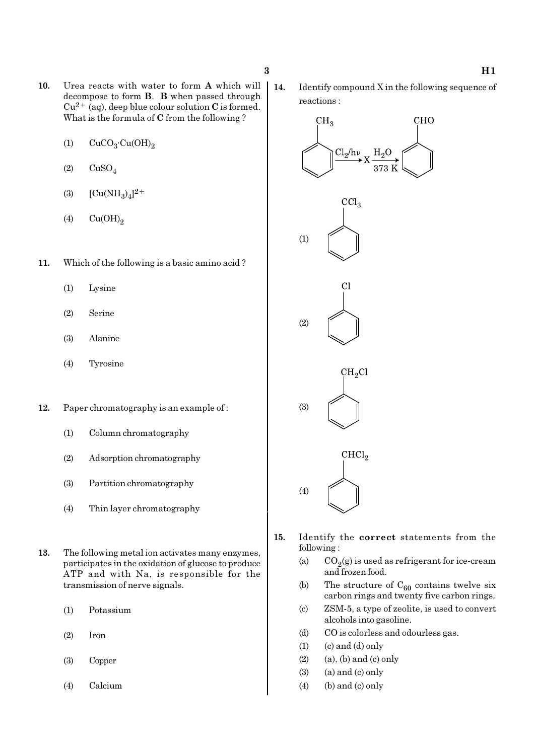- 10. Urea reacts with water to form A which will decompose to form B. B when passed through  $Cu^{2+}$  (aq), deep blue colour solution C is formed. What is the formula of C from the following ?
	- (1)  $CuCO<sub>3</sub>·Cu(OH)<sub>2</sub>$
	- $(2)$   $CuSO<sub>4</sub>$
	- (3)  $[Cu(NH_3)_4]^{2+}$
	- $(4)$   $Cu(OH)<sub>2</sub>$
- 11. Which of the following is a basic amino acid ?
	- (1) Lysine
	- (2) Serine
	- (3) Alanine
	- (4) Tyrosine
- 12. Paper chromatography is an example of :
	- (1) Column chromatography
	- (2) Adsorption chromatography
	- (3) Partition chromatography
	- (4) Thin layer chromatography
- 13. The following metal ion activates many enzymes, participates in the oxidation of glucose to produce ATP and with Na, is responsible for the transmission of nerve signals.
	- (1) Potassium
	- (2) Iron
	- (3) Copper
	- (4) Calcium

14. Identify compound X in the following sequence of reactions :



- 15. Identify the correct statements from the following :
	- (a)  $CO_2(g)$  is used as refrigerant for ice-cream and frozen food.
	- (b) The structure of  $C_{60}$  contains twelve six carbon rings and twenty five carbon rings.
	- (c) ZSM-5, a type of zeolite, is used to convert alcohols into gasoline.
	- (d) CO is colorless and odourless gas.
	- $(1)$   $(c)$  and  $(d)$  only
	- $(2)$  (a), (b) and (c) only
	- $(3)$  (a) and  $(c)$  only
	- $(4)$  (b) and (c) only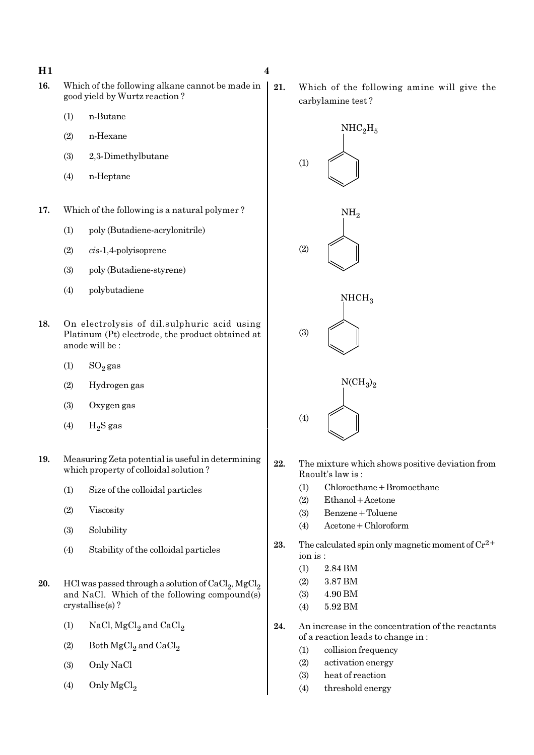- 16. Which of the following alkane cannot be made in good yield by Wurtz reaction ?
	- (1) n-Butane
	- (2) n-Hexane
	- (3) 2,3-Dimethylbutane
	- (4) n-Heptane
- 17. Which of the following is a natural polymer ?
	- (1) poly (Butadiene-acrylonitrile)
	- (2) cis-1,4-polyisoprene
	- (3) poly (Butadiene-styrene)
	- (4) polybutadiene
- 18. On electrolysis of dil.sulphuric acid using Platinum (Pt) electrode, the product obtained at anode will be :
	- (1)  $SO_2$  gas
	- (2) Hydrogen gas
	- (3) Oxygen gas
	- (4)  $H_2S$  gas
- 19. Measuring Zeta potential is useful in determining which property of colloidal solution ?
	- (1) Size of the colloidal particles
	- (2) Viscosity
	- (3) Solubility
	- (4) Stability of the colloidal particles
- **20.** HCl was passed through a solution of  $\text{CaCl}_2$ ,  $\text{MgCl}_2$ and NaCl. Which of the following compound(s) crystallise(s) ?
	- (1) NaCl,  $MgCl<sub>2</sub>$  and  $CaCl<sub>2</sub>$
	- (2) Both  $\mathrm{MgCl}_2$  and  $\mathrm{CaCl}_2$
	- (3) Only NaCl
	- (4) Only  $MgCl<sub>2</sub>$

21. Which of the following amine will give the carbylamine test ?



- 22. The mixture which shows positive deviation from Raoult's law is :
	- (1) Chloroethane+Bromoethane
	- (2) Ethanol+Acetone
	- (3) Benzene+Toluene
	- (4) Acetone+Chloroform
- 23. The calculated spin only magnetic moment of  $Cr^{2+}$ ion is :
	- (1) 2.84 BM
	- (2) 3.87 BM
	- (3) 4.90 BM
	- (4) 5.92 BM
- 24. An increase in the concentration of the reactants of a reaction leads to change in :
	- (1) collision frequency
	- (2) activation energy
	- (3) heat of reaction
	- (4) threshold energy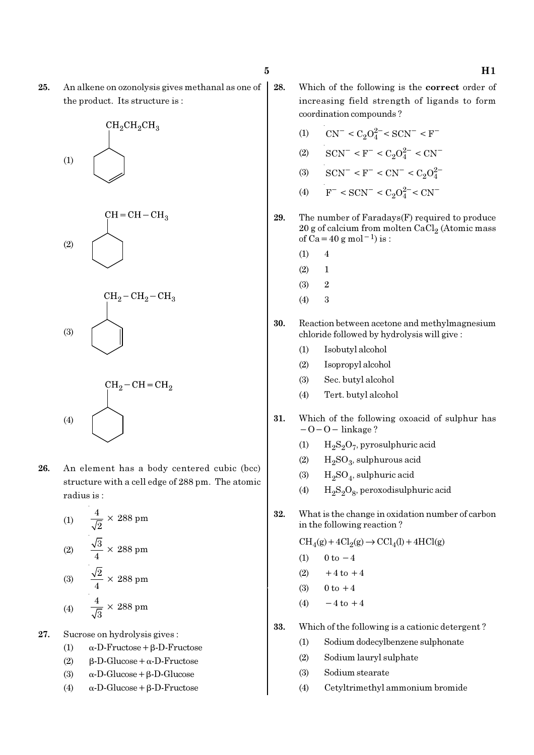25. An alkene on ozonolysis gives methanal as one of the product. Its structure is :









- 26. An element has a body centered cubic (bcc) structure with a cell edge of 288 pm. The atomic radius is :
	- (1)  $\frac{4}{\sqrt{2}} \times 288 \text{ pm}$ 2 (2)  $\frac{\sqrt{3}}{4} \times 288 \text{ pm}$ (3)  $\frac{\sqrt{2}}{4} \times 288 \text{ pm}$ (4)  $\frac{4}{\sqrt{2}} \times 288 \text{ pm}$ 3
- 27. Sucrose on hydrolysis gives :
	- (1)  $\alpha$ -D-Fructose + β-D-Fructose
	- (2) β-D-Glucose+α-D-Fructose
	- (3)  $\alpha$ -D-Glucose + β-D-Glucose
	- (4) α-D-Glucose+β-D-Fructose
- 28. Which of the following is the correct order of increasing field strength of ligands to form coordination compounds ?
	- (1)  $\text{CN}^- < \text{C}_2\text{O}_4^{2-} < \text{SCN}^- < \text{F}^-$
	- (2)  $\text{SCN}^- \leq F^- \leq C_2 O_4^{2-} \leq \text{CN}^-$
	- (3)  $\text{SCN}^-$  < F<sup>-</sup> < CN<sup>-</sup> < C<sub>2</sub>O<sub>4</sub><sup>2</sup>
	- (4)  $F^- < SCN^- < C_2O_4^{2-} < CN^-$

29. The number of Faradays(F) required to produce  $20$  g of calcium from molten CaCl $_2$  (Atomic mass of Ca=40 g mol<sup>-1</sup>) is :

- $(1)$  4
- $(2) 1$
- (3) 2
- $(4)$  3
- 30. Reaction between acetone and methylmagnesium chloride followed by hydrolysis will give :
	- (1) Isobutyl alcohol
	- (2) Isopropyl alcohol
	- (3) Sec. butyl alcohol
	- (4) Tert. butyl alcohol
- 31. Which of the following oxoacid of sulphur has −O−O− linkage ?
	- (1)  $H_2S_2O_7$ , pyrosulphuric acid
	- (2)  $H_2SO_3$ , sulphurous acid
	- (3)  $H_2SO_4$ , sulphuric acid
	- (4)  $H_2S_2O_8$ , peroxodisulphuric acid
- 32. What is the change in oxidation number of carbon in the following reaction ?

 $\text{CH}_4(g) + 4\text{Cl}_2(g) \rightarrow \text{CCl}_4(l) + 4\text{HCl}(g)$ 

- (1)  $0 \text{ to } -4$
- (2)  $+4$  to  $+4$
- (3)  $0 \text{ to } +4$
- (4)  $-4$  to  $+4$
- 33. Which of the following is a cationic detergent ?
	- (1) Sodium dodecylbenzene sulphonate
	- (2) Sodium lauryl sulphate
	- (3) Sodium stearate
	- (4) Cetyltrimethyl ammonium bromide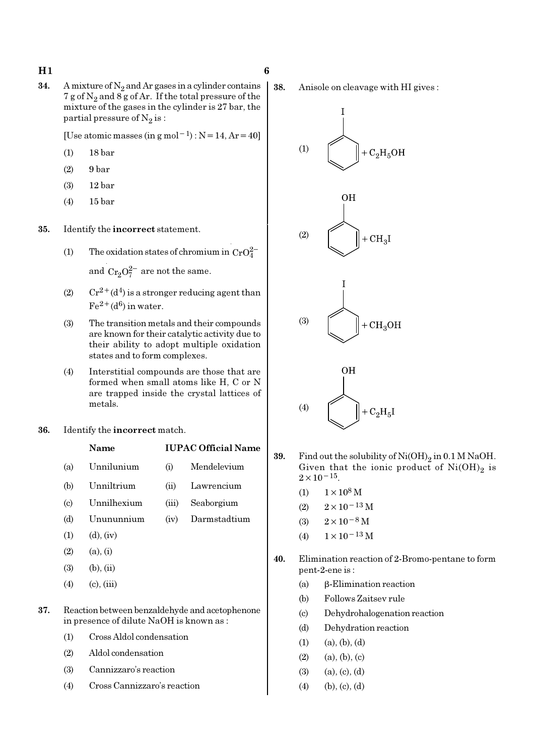**34.** A mixture of  $N_2$  and Ar gases in a cylinder contains 7 g of  $N_2$  and 8 g of Ar. If the total pressure of the mixture of the gases in the cylinder is 27 bar, the partial pressure of  $\mathrm{N}_2 \, \mathrm{is}$  :

[Use atomic masses (in g mol<sup>-1</sup>) : N=14, Ar=40]

- (1) 18 bar
- (2) 9 bar
- (3) 12 bar
- (4) 15 bar

35. Identify the incorrect statement.

- (1) The oxidation states of chromium in  $CrO<sub>4</sub><sup>2</sup>$ and  $Cr_2O_7^{2-}$  are not the same.
- (2)  $Cr^{2+}(d^4)$  is a stronger reducing agent than  $Fe^{2+}(d^6)$  in water.
- (3) The transition metals and their compounds are known for their catalytic activity due to their ability to adopt multiple oxidation states and to form complexes.
- (4) Interstitial compounds are those that are formed when small atoms like H, C or N are trapped inside the crystal lattices of metals.
- 36. Identify the incorrect match.

### Name IUPAC Official Name

- (a) Unnilunium (i) Mendelevium
- (b) Unniltrium (ii) Lawrencium
- (c) Unnilhexium (iii) Seaborgium
- (d) Unununnium (iv) Darmstadtium
- $(1)$   $(d)$ ,  $(iv)$
- $(2)$   $(a), (i)$
- $(3)$   $(b), (ii)$
- $(4)$  (c), (iii)

#### 37. Reaction between benzaldehyde and acetophenone in presence of dilute NaOH is known as :

- (1) Cross Aldol condensation
- (2) Aldol condensation
- (3) Cannizzaro's reaction
- (4) Cross Cannizzaro's reaction

38. Anisole on cleavage with HI gives :



- **39.** Find out the solubility of  $Ni(OH)_2$  in 0.1 M NaOH. Given that the ionic product of  $\mathrm{Ni(OH)}_{2}$  is  $2 \times 10^{-15}$ .
	- (1)  $1 \times 10^8$  M
	- (2)  $2 \times 10^{-13}$  M
	- (3)  $2 \times 10^{-8}$  M
	- (4)  $1 \times 10^{-13}$  M
- 40. Elimination reaction of 2-Bromo-pentane to form pent-2-ene is :
	- (a) β-Elimination reaction
	- (b) Follows Zaitsev rule
	- (c) Dehydrohalogenation reaction
	- (d) Dehydration reaction
	- $(1)$   $(a), (b), (d)$
	- $(2)$   $(a), (b), (c)$
	- $(3)$   $(a), (c), (d)$
	- $(4)$  (b), (c), (d)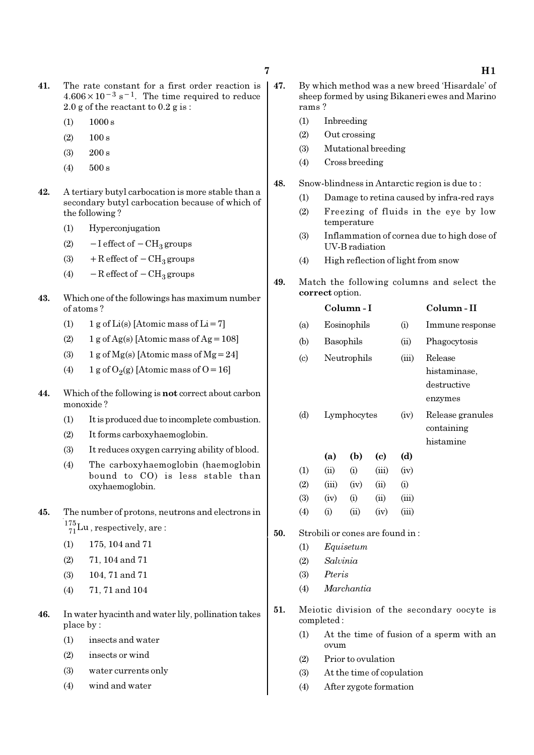- 41. The rate constant for a first order reaction is  $4.606 \times 10^{-3}$  s<sup>-1</sup>. The time required to reduce 2.0 g of the reactant to 0.2 g is :
	- $(1)$  1000 s
	- $(2)$  100 s
	- (3) 200 s
	- (4) 500 s
- 42. A tertiary butyl carbocation is more stable than a secondary butyl carbocation because of which of the following ?
	- (1) Hyperconjugation
	- (2)  $-I$  effect of  $-CH_3$  groups
	- (3) + R effect of  $-CH_3$  groups
	- (4)  $-$  R effect of  $-$  CH<sub>3</sub> groups
- 43. Which one of the followings has maximum number of atoms ?
	- (1)  $1 g$  of Li(s) [Atomic mass of Li = 7]
	- (2)  $1 g \text{ of } Ag(s)$  [Atomic mass of Ag = 108]
	- (3) 1 g of Mg(s) [Atomic mass of Mg = 24]
	- (4) 1 g of  $O_2(g)$  [Atomic mass of O = 16]
- 44. Which of the following is not correct about carbon monoxide ?
	- (1) It is produced due to incomplete combustion.
	- (2) It forms carboxyhaemoglobin.
	- (3) It reduces oxygen carrying ability of blood.
	- (4) The carboxyhaemoglobin (haemoglobin bound to CO) is less stable than oxyhaemoglobin.
- 45. The number of protons, neutrons and electrons in  $^{175}_{71}$ Lu, respectively, are:
	- (1) 175, 104 and 71
	- (2) 71, 104 and 71
	- (3) 104, 71 and 71
	- (4) 71, 71 and 104
- 46. In water hyacinth and water lily, pollination takes place by :
	- (1) insects and water
	- (2) insects or wind
	- (3) water currents only
	- (4) wind and water
- 47. By which method was a new breed 'Hisardale' of sheep formed by using Bikaneri ewes and Marino rams ?
	- (1) Inbreeding
	- (2) Out crossing
	- (3) Mutational breeding
	- (4) Cross breeding
- 48. Snow-blindness in Antarctic region is due to :
	- (1) Damage to retina caused by infra-red rays
	- (2) Freezing of fluids in the eye by low temperature
	- (3) Inflammation of cornea due to high dose of UV-B radiation
	- (4) High reflection of light from snow
- 49. Match the following columns and select the correct option.
	- Column I Column II (a) Eosinophils (i) Immune response (b) Basophils (ii) Phagocytosis (c) Neutrophils (iii) Release histaminase, destructive enzymes (d) Lymphocytes (iv) Release granules containing histamine (a) (b) (c) (d)

| (1)               | (ii)              | (i)            | (iii)          | (iv)     |
|-------------------|-------------------|----------------|----------------|----------|
| (2)               | (iii)             | (iv)           | $\overline{u}$ | $\rm(i)$ |
| <b>(3)</b>        | (iv)              | $\rm (i)$      | (ii)           | (iii)    |
| $\left( 4\right)$ | $\left( 1\right)$ | $\overline{u}$ | (iv)           | (111)    |

- 50. Strobili or cones are found in :
	- (1) Equisetum
	- (2) Salvinia
	- (3) Pteris
	- (4) Marchantia
- 51. Meiotic division of the secondary oocyte is completed :
	- (1) At the time of fusion of a sperm with an ovum
	- (2) Prior to ovulation
	- (3) At the time of copulation
	- (4) After zygote formation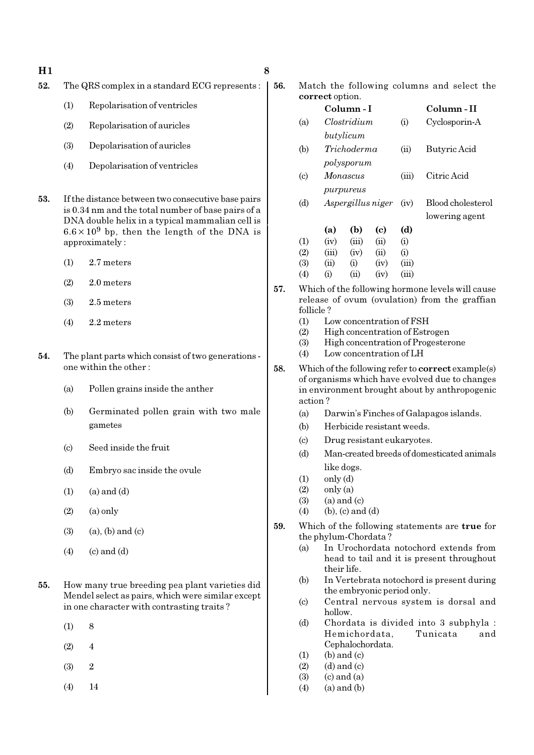- $H1$  8
- 52. The QRS complex in a standard ECG represents :
	- (1) Repolarisation of ventricles
	- (2) Repolarisation of auricles
	- (3) Depolarisation of auricles
	- (4) Depolarisation of ventricles
- 53. If the distance between two consecutive base pairs is 0.34 nm and the total number of base pairs of a DNA double helix in a typical mammalian cell is  $6.6 \times 10^9$  bp, then the length of the DNA is approximately :
	- (1) 2.7 meters
	- (2) 2.0 meters
	- (3) 2.5 meters
	- (4) 2.2 meters
- 54. The plant parts which consist of two generations one within the other :
	- (a) Pollen grains inside the anther
	- (b) Germinated pollen grain with two male gametes
	- (c) Seed inside the fruit
	- (d) Embryo sac inside the ovule
	- $(1)$   $(a)$  and  $(d)$
	- $(2)$   $(a)$  only
	- $(3)$   $(a)$ ,  $(b)$  and  $(c)$
	- $(4)$   $(c)$  and  $(d)$
- 55. How many true breeding pea plant varieties did Mendel select as pairs, which were similar except in one character with contrasting traits ?
	- $(1)$  8
	- $(2) \t 4$
	- (3) 2
	- (4) 14

56. Match the following columns and select the correct option.

- Column I Column II (a) Clostridium (i) Cyclosporin-A butylicum (b) Trichoderma (ii) Butyric Acid polysporum (c) Monascus (iii) Citric Acid purpureus (d) Aspergillus niger (iv) Blood cholesterol lowering agent (a) (b) (c) (d)  $(1)$   $(iv)$   $(iii)$   $(ii)$   $(i)$  $(2)$   $(iii)$   $(iv)$   $(ii)$   $(i)$  $(3)$   $(ii)$   $(i)$   $(iv)$   $(iii)$ (4) (i) (ii) (iv) (iii)
- 57. Which of the following hormone levels will cause release of ovum (ovulation) from the graffian follicle ?
	- (1) Low concentration of FSH
	- (2) High concentration of Estrogen
	- (3) High concentration of Progesterone
	- (4) Low concentration of LH
- 58. Which of the following refer to correct example(s) of organisms which have evolved due to changes in environment brought about by anthropogenic action ?
	- (a) Darwin's Finches of Galapagos islands.
	- (b) Herbicide resistant weeds.
	- (c) Drug resistant eukaryotes.
	- (d) Man-created breeds of domesticated animals like dogs.
	- $(1)$  only  $(d)$
	- $(2)$  only  $(a)$
	- $(3)$   $(a)$  and  $(c)$
	- (4) (b), (c) and (d)
- 59. Which of the following statements are true for the phylum-Chordata ?
	- (a) In Urochordata notochord extends from head to tail and it is present throughout their life.
	- (b) In Vertebrata notochord is present during the embryonic period only.
	- (c) Central nervous system is dorsal and hollow.
	- (d) Chordata is divided into 3 subphyla : Hemichordata, Tunicata and Cephalochordata.
	- $(1)$  (b) and  $(c)$
	- $(2)$   $(d)$  and  $(c)$
	- $(3)$   $(c)$  and  $(a)$
	- $(4)$   $(a)$  and  $(b)$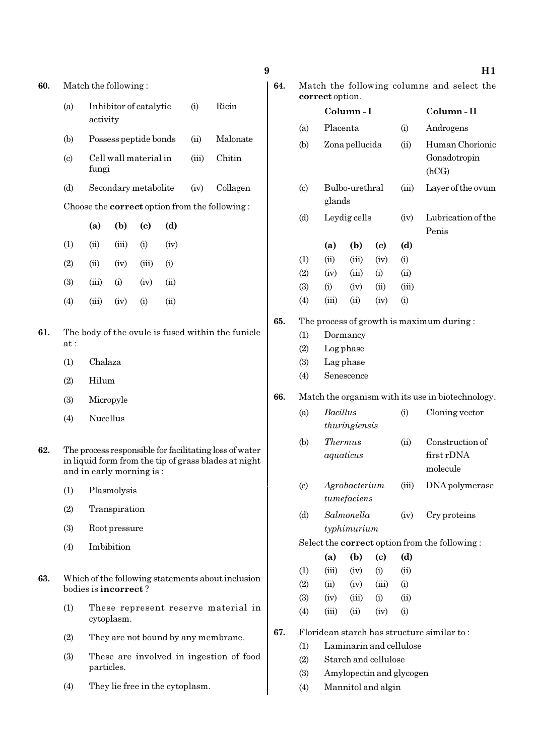| 0. | Match the following:       |                                        |                      |                             |      |       | Match the following columns and select the<br>64.<br>correct option.                                           |                                                   |                                                  |               |                              |                             |                         |                                                      |
|----|----------------------------|----------------------------------------|----------------------|-----------------------------|------|-------|----------------------------------------------------------------------------------------------------------------|---------------------------------------------------|--------------------------------------------------|---------------|------------------------------|-----------------------------|-------------------------|------------------------------------------------------|
|    | (a)                        | Ricin<br>Inhibitor of catalytic<br>(i) |                      |                             |      |       | Column-I                                                                                                       |                                                   |                                                  | Column-II     |                              |                             |                         |                                                      |
|    |                            | activity                               |                      |                             |      |       |                                                                                                                |                                                   | (a)                                              | Placenta      |                              |                             | (i)                     | Androgens                                            |
|    | (b)                        |                                        |                      | Possess peptide bonds       |      | (ii)  | Malonate                                                                                                       |                                                   | (b)                                              |               | Zona pellucida               |                             | (ii)                    | Human Chorionic                                      |
|    | $\left( \mathrm{c}\right)$ | fungi                                  |                      | Cell wall material in       |      | (iii) | Chitin                                                                                                         |                                                   |                                                  |               |                              |                             |                         | Gonadotropin<br>(hCG)                                |
|    | (d)                        |                                        |                      | Secondary metabolite        |      | (iv)  | Collagen                                                                                                       |                                                   | $\left( \text{c} \right)$                        |               | Bulbo-urethral               |                             | (iii)                   | Layer of the ovum                                    |
|    |                            |                                        |                      |                             |      |       | Choose the <b>correct</b> option from the following:                                                           |                                                   |                                                  | glands        |                              |                             |                         |                                                      |
|    |                            | (a)                                    | (b)                  | $\left( \mathbf{c} \right)$ | (d)  |       |                                                                                                                |                                                   | (d)                                              |               | Leydig cells                 |                             | (iv)                    | Lubrication of the<br>Penis                          |
|    | (1)                        | (ii)                                   | (iii)                | (i)                         | (iv) |       |                                                                                                                |                                                   |                                                  | (a)           | (b)                          | $\left( \mathrm{e}\right)$  | (d)                     |                                                      |
|    | (2)                        | (ii)                                   | (iv)                 | (iii)                       | (i)  |       |                                                                                                                |                                                   | (1)                                              | (ii)          | (iii)                        | (iv)                        | (i)                     |                                                      |
|    | (3)                        | (iii)                                  | (i)                  | (iv)                        | (ii) |       |                                                                                                                |                                                   | (2)                                              | (iv)          | (iii)                        | (i)                         | (ii)                    |                                                      |
|    |                            |                                        |                      |                             |      |       |                                                                                                                |                                                   | (3)                                              | (i)           | (iv)                         | (ii)                        | (iii)                   |                                                      |
|    | (4)                        | (iii)                                  | (iv)                 | (i)                         | (ii) |       |                                                                                                                |                                                   | (4)                                              | (iii)         | (ii)                         | (iv)                        | (i)                     |                                                      |
|    |                            |                                        |                      |                             |      |       |                                                                                                                | 65.                                               |                                                  |               |                              |                             |                         | The process of growth is maximum during:             |
| l. | at:                        |                                        |                      |                             |      |       | The body of the ovule is fused within the funicle                                                              |                                                   | (1)                                              |               | Dormancy                     |                             |                         |                                                      |
|    |                            | Chalaza                                |                      |                             |      |       | (2)                                                                                                            |                                                   | Log phase                                        |               |                              |                             |                         |                                                      |
|    | (1)                        |                                        |                      |                             |      |       | (3)                                                                                                            |                                                   | Lag phase                                        |               |                              |                             |                         |                                                      |
|    | (2)                        | Hilum<br>Micropyle                     |                      |                             |      |       |                                                                                                                | (4)<br>Senescence                                 |                                                  |               |                              |                             |                         |                                                      |
|    | (3)                        |                                        |                      |                             |      |       | 66.                                                                                                            | Match the organism with its use in biotechnology. |                                                  |               |                              |                             |                         |                                                      |
|    | (4)                        | Nucellus                               |                      |                             |      |       | <b>Bacillus</b><br>(a)                                                                                         |                                                   |                                                  | (i)           | Cloning vector               |                             |                         |                                                      |
|    |                            |                                        |                      |                             |      |       |                                                                                                                |                                                   |                                                  | thuringiensis |                              |                             |                         |                                                      |
| 2. |                            |                                        |                      | and in early morning is:    |      |       | The process responsible for facilitating loss of water<br>in liquid form from the tip of grass blades at night |                                                   | (b)                                              |               | <b>Thermus</b><br>aquaticus  |                             | (ii)                    | Construction of<br>first rDNA<br>molecule            |
|    | (1)                        |                                        | Plasmolysis          |                             |      |       |                                                                                                                |                                                   | $\left( \mathrm{c}\right)$                       |               | Agrobacterium<br>tumefaciens |                             | (iii)                   | DNA polymerase                                       |
|    | (2)                        |                                        | Transpiration        |                             |      |       |                                                                                                                |                                                   | (d)                                              |               | Salmonella                   |                             | (iv)                    | Cry proteins                                         |
|    | (3)                        |                                        | Root pressure        |                             |      |       |                                                                                                                |                                                   |                                                  |               | typhimurium                  |                             |                         |                                                      |
|    | (4)                        |                                        | Imbibition           |                             |      |       |                                                                                                                |                                                   |                                                  |               |                              |                             |                         | Select the <b>correct</b> option from the following: |
|    |                            |                                        |                      |                             |      |       |                                                                                                                |                                                   |                                                  | (a)           | (b)                          | $\left( \mathbf{c} \right)$ | (d)                     |                                                      |
| 3. |                            |                                        |                      |                             |      |       | Which of the following statements about inclusion                                                              |                                                   | (1)                                              | (iii)         | (iv)                         | (i)                         | (ii)                    |                                                      |
|    |                            |                                        | bodies is incorrect? |                             |      |       |                                                                                                                |                                                   | (2)                                              | (ii)          | (iv)                         | (iii)                       | (i)                     |                                                      |
|    | (1)                        |                                        |                      |                             |      |       | These represent reserve material in                                                                            |                                                   | (3)                                              | (iv)          | (iii)                        | (i)                         | (ii)                    |                                                      |
|    |                            |                                        | cytoplasm.           |                             |      |       |                                                                                                                |                                                   | (4)                                              | (iii)         | (ii)                         | (iv)                        | (i)                     | Floridean starch has structure similar to:           |
|    | (2)                        |                                        |                      |                             |      |       | They are not bound by any membrane.                                                                            | 67.                                               | (1)                                              |               |                              |                             | Laminarin and cellulose |                                                      |
|    | (3)                        |                                        |                      |                             |      |       | These are involved in ingestion of food                                                                        |                                                   | (2)                                              |               |                              |                             |                         |                                                      |
|    |                            |                                        | particles.           |                             |      |       |                                                                                                                | (3)                                               | Starch and cellulose<br>Amylopectin and glycogen |               |                              |                             |                         |                                                      |
|    |                            |                                        |                      |                             |      |       |                                                                                                                |                                                   |                                                  |               |                              |                             |                         |                                                      |

(4) They lie free in the cytoplasm.

(4) Mannitol and algin

#### $9$  H1

60. Match the foll

- 63. Which of the following statements about inclusion
- 

- -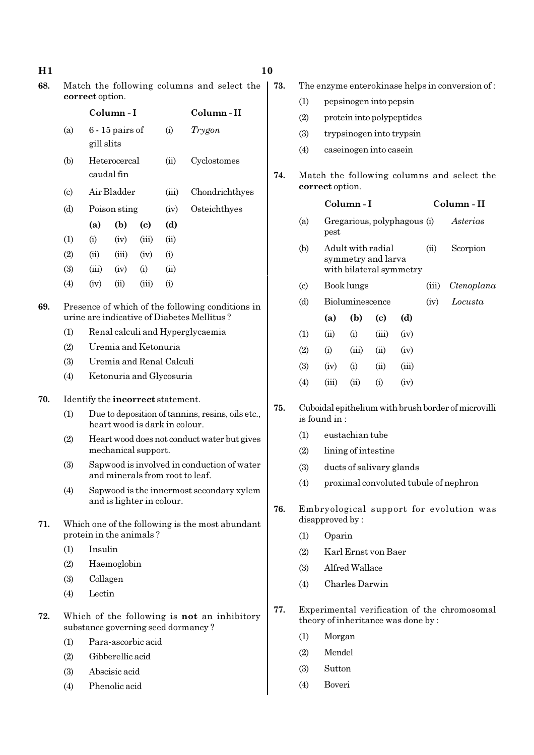| 68. |                                                                                                | Match the following columns and select the<br>correct option.                            |                            |       |           |                                                                                          |     |  |  |  |
|-----|------------------------------------------------------------------------------------------------|------------------------------------------------------------------------------------------|----------------------------|-------|-----------|------------------------------------------------------------------------------------------|-----|--|--|--|
|     |                                                                                                |                                                                                          | Column-I                   |       | Column-II |                                                                                          |     |  |  |  |
|     | (a)                                                                                            | gill slits                                                                               | $6 - 15$ pairs of          |       | (i)       | Trygon                                                                                   |     |  |  |  |
|     | (b)                                                                                            |                                                                                          | Heterocercal<br>caudal fin |       | (ii)      | Cyclostomes                                                                              | 74. |  |  |  |
|     | $\left( \mathrm{c}\right)$                                                                     |                                                                                          | Air Bladder                |       | (iii)     | Chondrichthyes                                                                           |     |  |  |  |
|     | (d)                                                                                            |                                                                                          | Poison sting               |       | (iv)      | Osteichthyes                                                                             |     |  |  |  |
|     |                                                                                                | (a)                                                                                      | (b)                        | (c)   | (d)       |                                                                                          |     |  |  |  |
|     | (1)                                                                                            | (i)                                                                                      | (iv)                       | (iii) | (ii)      |                                                                                          |     |  |  |  |
|     | (2)                                                                                            | (ii)                                                                                     | (iii)                      | (iv)  | (i)       |                                                                                          |     |  |  |  |
|     | (3)                                                                                            | (iii)                                                                                    | (iv)                       | (i)   | (ii)      |                                                                                          |     |  |  |  |
|     | (4)                                                                                            | (iv)                                                                                     | (ii)                       | (iii) | (i)       |                                                                                          |     |  |  |  |
| 69. | Presence of which of the following conditions in<br>urine are indicative of Diabetes Mellitus? |                                                                                          |                            |       |           |                                                                                          |     |  |  |  |
|     | (1)                                                                                            | Renal calculi and Hyperglycaemia                                                         |                            |       |           |                                                                                          |     |  |  |  |
|     | (2)                                                                                            | Uremia and Ketonuria                                                                     |                            |       |           |                                                                                          |     |  |  |  |
|     | (3)                                                                                            | Uremia and Renal Calculi                                                                 |                            |       |           |                                                                                          |     |  |  |  |
|     | (4)                                                                                            | Ketonuria and Glycosuria                                                                 |                            |       |           |                                                                                          |     |  |  |  |
| 70. | Identify the incorrect statement.                                                              |                                                                                          |                            |       |           |                                                                                          |     |  |  |  |
|     | (1)                                                                                            | 75.<br>Due to deposition of tannins, resins, oils etc.,<br>heart wood is dark in colour. |                            |       |           |                                                                                          |     |  |  |  |
|     | (2)                                                                                            | Heart wood does not conduct water but gives<br>mechanical support.                       |                            |       |           |                                                                                          |     |  |  |  |
|     | (3)                                                                                            | Sapwood is involved in conduction of water<br>and minerals from root to leaf.            |                            |       |           |                                                                                          |     |  |  |  |
|     | (4)                                                                                            | Sapwood is the innermost secondary xylem<br>and is lighter in colour.<br>76.             |                            |       |           |                                                                                          |     |  |  |  |
| 71. |                                                                                                | Which one of the following is the most abundant<br>protein in the animals?               |                            |       |           |                                                                                          |     |  |  |  |
|     | (1)                                                                                            | Insulin                                                                                  |                            |       |           |                                                                                          |     |  |  |  |
|     | (2)                                                                                            |                                                                                          | Haemoglobin                |       |           |                                                                                          |     |  |  |  |
|     | (3)                                                                                            | Collagen                                                                                 |                            |       |           |                                                                                          |     |  |  |  |
|     | (4)                                                                                            | Lectin                                                                                   |                            |       |           |                                                                                          |     |  |  |  |
| 72. |                                                                                                |                                                                                          |                            |       |           | Which of the following is <b>not</b> an inhibitory<br>substance governing seed dormancy? | 77. |  |  |  |
|     | (1)                                                                                            |                                                                                          | Para-ascorbic acid         |       |           |                                                                                          |     |  |  |  |
|     | (2)                                                                                            |                                                                                          | Gibberellic acid           |       |           |                                                                                          |     |  |  |  |
|     | (3)                                                                                            |                                                                                          | Abscisic acid              |       |           |                                                                                          |     |  |  |  |
|     | (4)                                                                                            | Phenolic acid                                                                            |                            |       |           |                                                                                          |     |  |  |  |

- 73. The enzyme enterokinase helps in conversion of :
	- (1) pepsinogen into pepsin
	- (2) protein into polypeptides
	- (3) trypsinogen into trypsin
	- (4) caseinogen into casein

#### Match the following columns and select the correct option.

|                             |       | Column-I                                                           |          | Column - II |          |            |
|-----------------------------|-------|--------------------------------------------------------------------|----------|-------------|----------|------------|
| (a)                         | pest  | Gregarious, polyphagous (i)                                        |          |             | Asterias |            |
| (b)                         |       | Adult with radial<br>symmetry and larva<br>with bilateral symmetry |          | (ii)        | Scorpion |            |
| $\left( \mathrm{c} \right)$ |       | Book lungs                                                         |          |             | (iii)    | Ctenoplana |
| (d)                         |       | Bioluminescence                                                    |          |             | (iv)     | Locusta    |
|                             | (a)   | (b)                                                                | (c)      | (d)         |          |            |
| $\left(1\right)$            | (ii)  | (i)                                                                | (iii)    | (iv)        |          |            |
| (2)                         | (i)   | (iii)                                                              | (ii)     | (iv)        |          |            |
| (3)                         | (iv)  | (i)                                                                | (ii)     | (iii)       |          |            |
| $\left( 4\right)$           | (iii) | $\sin$                                                             | $\rm(i)$ | (iv)        |          |            |
|                             |       |                                                                    |          |             |          |            |

- 75. Cuboidal epithelium with brush border of microvilli is found in :
	- (1) eustachian tube
	- (2) lining of intestine
	- (3) ducts of salivary glands
	- (4) proximal convoluted tubule of nephron
- Embryological support for evolution was disapproved by :
	- (1) Oparin
	- (2) Karl Ernst von Baer
	- (3) Alfred Wallace
	- (4) Charles Darwin
- Experimental verification of the chromosomal theory of inheritance was done by :
	- (1) Morgan
	- (2) Mendel
	- (3) Sutton
	- (4) Boveri

 $\overline{\phantom{a}}$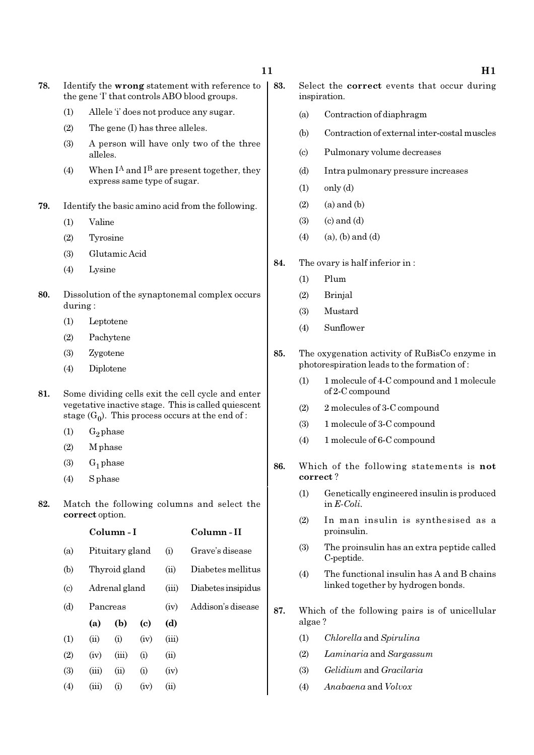- 78. Identify the wrong statement with reference to the gene 'I' that controls ABO blood groups.
	- (1) Allele 'i' does not produce any sugar.
	- (2) The gene (I) has three alleles.
	- (3) A person will have only two of the three alleles.
	- (4) When  $I^A$  and  $I^B$  are present together, they express same type of sugar.
- 79. Identify the basic amino acid from the following.
	- (1) Valine
	- (2) Tyrosine
	- (3) Glutamic Acid
	- (4) Lysine
- 80. Dissolution of the synaptonemal complex occurs during :
	- (1) Leptotene
	- (2) Pachytene
	- (3) Zygotene
	- (4) Diplotene
- 81. Some dividing cells exit the cell cycle and enter vegetative inactive stage. This is called quiescent stage  $(G_0)$ . This process occurs at the end of :
	- $(1)$  G<sub>2</sub> phase
	- (2) M phase
	- (3)  $G_1$  phase
	- (4) S phase
- 82. Match the following columns and select the correct option.

|                             |               | Column - I      |      |       | Column - II        |
|-----------------------------|---------------|-----------------|------|-------|--------------------|
| (a)                         |               | Pituitary gland |      |       | Grave's disease    |
| (b)                         |               | Thyroid gland   |      | (ii)  | Diabetes mellitus  |
| $\left( \mathrm{c} \right)$ | Adrenal gland |                 |      | (iii) | Diabetes insipidus |
| (d)                         | Pancreas      |                 |      | (iv)  | Addison's disease  |
|                             | (a)           | (b)             | (c)  | (d)   |                    |
| (1)                         | (ii)          | (i)             | (iv) | (iii) |                    |
| (2)                         | (iv)          | (iii)           | (i)  | (ii)  |                    |
| (3)                         | (iii)         | (ii)            | (i)  | (iv)  |                    |
| (4)                         | (iii)         | (i)             | (iv) | (ii)  |                    |
|                             |               |                 |      |       |                    |

- 83. Select the correct events that occur during inspiration.
	- (a) Contraction of diaphragm
	- (b) Contraction of external inter-costal muscles
	- (c) Pulmonary volume decreases
	- (d) Intra pulmonary pressure increases
	- $(1)$  only  $(d)$
	- $(2)$   $(a)$  and  $(b)$
	- $(3)$   $(c)$  and  $(d)$
	- $(4)$   $(a), (b)$  and  $(d)$
- 84. The ovary is half inferior in :
	- (1) Plum
	- (2) Brinjal
	- (3) Mustard
	- (4) Sunflower
- 85. The oxygenation activity of RuBisCo enzyme in photorespiration leads to the formation of :
	- (1) 1 molecule of 4-C compound and 1 molecule of 2-C compound
	- (2) 2 molecules of 3-C compound
	- (3) 1 molecule of 3-C compound
	- (4) 1 molecule of 6-C compound
- 86. Which of the following statements is not correct ?
	- (1) Genetically engineered insulin is produced in E-Coli.
	- (2) In man insulin is synthesised as a proinsulin.
	- (3) The proinsulin has an extra peptide called C-peptide.
	- (4) The functional insulin has A and B chains linked together by hydrogen bonds.
- 87. Which of the following pairs is of unicellular algae ?
	- (1) Chlorella and Spirulina
	- (2) Laminaria and Sargassum
	- (3) Gelidium and Gracilaria
	- (4) Anabaena and Volvox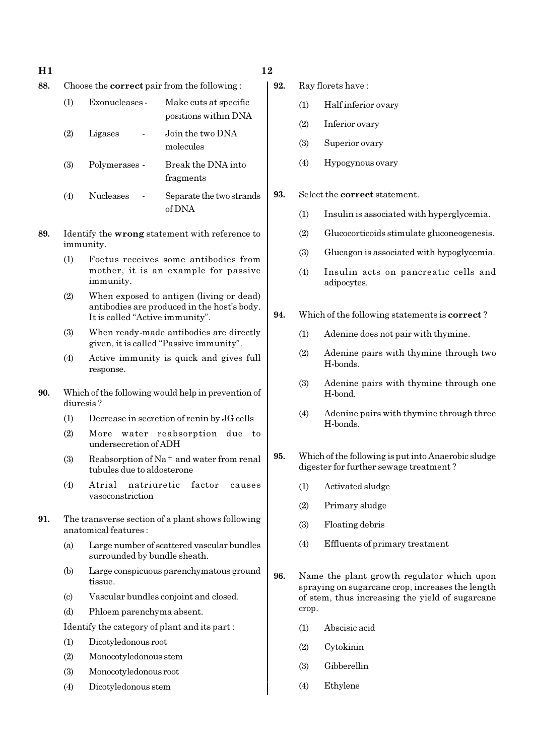- $H1$  12
- 88. Choose the correct pair from the following :

| (1) | Exonucleases - | Make cuts at specific<br>positions within DNA |
|-----|----------------|-----------------------------------------------|
| (2) | Ligases        | Join the two DNA<br>molecules                 |
| (3) | Polymerases -  | Break the DNA into<br>fragments               |

- (4) Nucleases Separate the two strands of DNA
- 89. Identify the wrong statement with reference to immunity.
	- (1) Foetus receives some antibodies from mother, it is an example for passive immunity.
	- (2) When exposed to antigen (living or dead) antibodies are produced in the host's body. It is called "Active immunity".
	- (3) When ready-made antibodies are directly given, it is called "Passive immunity".
	- (4) Active immunity is quick and gives full response.
- 90. Which of the following would help in prevention of diuresis ?
	- (1) Decrease in secretion of renin by JG cells
	- (2) More water reabsorption due to undersecretion of ADH
	- (3) Reabsorption of Na<sup>+</sup> and water from renal tubules due to aldosterone
	- (4) Atrial natriuretic factor causes vasoconstriction
- 91. The transverse section of a plant shows following anatomical features :
	- (a) Large number of scattered vascular bundles surrounded by bundle sheath.
	- (b) Large conspicuous parenchymatous ground tissue.
	- (c) Vascular bundles conjoint and closed.
	- (d) Phloem parenchyma absent.
	- Identify the category of plant and its part :
	- (1) Dicotyledonous root
	- (2) Monocotyledonous stem
	- (3) Monocotyledonous root
	- (4) Dicotyledonous stem

- 92. Ray florets have :
	- (1) Half inferior ovary
	- (2) Inferior ovary
	- (3) Superior ovary
	- (4) Hypogynous ovary
- 93. Select the correct statement.
	- (1) Insulin is associated with hyperglycemia.
	- (2) Glucocorticoids stimulate gluconeogenesis.
	- (3) Glucagon is associated with hypoglycemia.
	- (4) Insulin acts on pancreatic cells and adipocytes.
- 94. Which of the following statements is correct ?
	- (1) Adenine does not pair with thymine.
	- (2) Adenine pairs with thymine through two H-bonds.
	- (3) Adenine pairs with thymine through one H-bond.
	- (4) Adenine pairs with thymine through three H-bonds.
- 95. Which of the following is put into Anaerobic sludge digester for further sewage treatment ?
	- (1) Activated sludge
	- (2) Primary sludge
	- (3) Floating debris
	- (4) Effluents of primary treatment
- 96. Name the plant growth regulator which upon spraying on sugarcane crop, increases the length of stem, thus increasing the yield of sugarcane crop.
	- (1) Abscisic acid
	- (2) Cytokinin
	- (3) Gibberellin
	- (4) Ethylene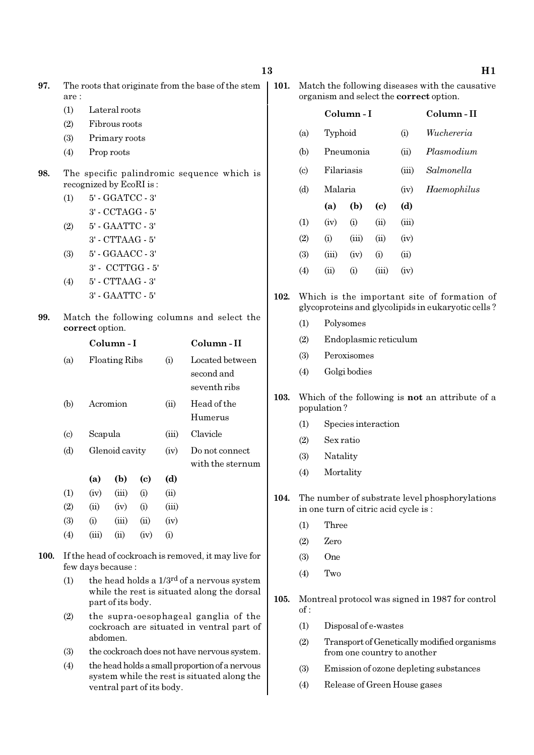| 97. | The roots that originate from the base of the stem |
|-----|----------------------------------------------------|
|     | are :                                              |

- (1) Lateral roots
- (2) Fibrous roots
- (3) Primary roots
- (4) Prop roots
- 98. The specific palindromic sequence which is recognized by EcoRI is :

(1) 5' - GGATCC - 3' 3' - CCTAGG - 5' (2) 5' - GAATTC - 3' 3' - CTTAAG - 5' (3) 5' - GGAACC - 3' 3' - CCTTGG - 5' (4) 5' - CTTAAG - 3' 3' - GAATTC - 5'

99. Match the following columns and select the correct option.

|                           |         | Column - I           |      |          | Column - II      |
|---------------------------|---------|----------------------|------|----------|------------------|
| (a)                       |         | <b>Floating Ribs</b> |      | (i)      | Located between  |
|                           |         |                      |      |          | second and       |
|                           |         |                      |      |          | seventh ribs     |
| (b)                       |         | Acromion             |      | (ii)     | Head of the      |
|                           |         |                      |      |          | Humerus          |
| $\left( \text{c} \right)$ | Scapula |                      |      | (iii)    | Clavicle         |
| (d)                       |         | Glenoid cavity       |      | (iv)     | Do not connect   |
|                           |         |                      |      |          | with the sternum |
|                           | (a)     | (b)                  | (c)  | (d)      |                  |
| (1)                       | (iv)    | (iii)                | (i)  | (ii)     |                  |
| (2)                       | (ii)    | (iv)                 | (i)  | (iii)    |                  |
| (3)                       | (i)     | (iii)                | (ii) | (iv)     |                  |
| (4)                       | (iii)   | $\rm (ii)$           | (iv) | $\rm(i)$ |                  |

- 100. If the head of cockroach is removed, it may live for few days because :
	- (1) the head holds a  $1/3^{rd}$  of a nervous system while the rest is situated along the dorsal part of its body.
	- (2) the supra-oesophageal ganglia of the cockroach are situated in ventral part of abdomen.
	- (3) the cockroach does not have nervous system.
	- (4) the head holds a small proportion of a nervous system while the rest is situated along the ventral part of its body.

| 101. Match the following diseases with the causative |
|------------------------------------------------------|
| organism and select the <b>correct</b> option.       |

|                            | Column - I |       |       |             | Column-II  |
|----------------------------|------------|-------|-------|-------------|------------|
| (a)                        | Typhoid    |       |       | (i)         | Wuchereria |
| (b)                        | Pneumonia  |       |       | (ii)        | Plasmodium |
| $\left( \mathrm{c}\right)$ | Filariasis |       |       | (iii)       | Salmonella |
| (d)                        | Malaria    |       | (iv)  | Haemophilus |            |
|                            | (a)        | (b)   | (c)   | (d)         |            |
| (1)                        | (iv)       | (i)   | (ii)  | (iii)       |            |
| (2)                        | (i)        | (iii) | (ii)  | (iv)        |            |
| (3)                        | (iii)      | (iv)  | (i)   | (ii)        |            |
| (4)                        | (ii)       | (i)   | (iii) | (iv)        |            |

- 102. Which is the important site of formation of glycoproteins and glycolipids in eukaryotic cells ?
	- (1) Polysomes
	- (2) Endoplasmic reticulum
	- (3) Peroxisomes
	- (4) Golgi bodies
- 103. Which of the following is not an attribute of a population ?
	- (1) Species interaction
	- (2) Sex ratio
	- (3) Natality
	- (4) Mortality
- 104. The number of substrate level phosphorylations in one turn of citric acid cycle is :
	- (1) Three
	- (2) Zero
	- (3) One
	- (4) Two
- 105. Montreal protocol was signed in 1987 for control of :
	- (1) Disposal of e-wastes
	- (2) Transport of Genetically modified organisms from one country to another
	- (3) Emission of ozone depleting substances
	- (4) Release of Green House gases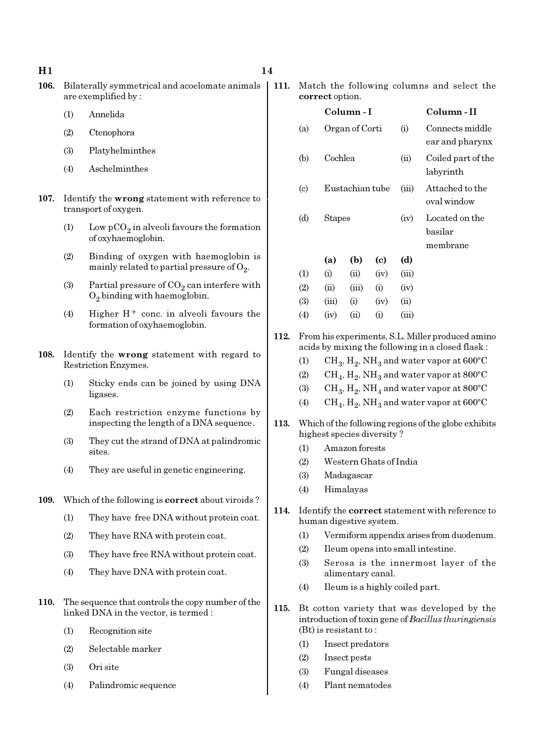- 106. Bilaterally symmetrical and acoelomate animals are exemplified by :
	- (1) Annelida
	- (2) Ctenophora
	- (3) Platyhelminthes
	- (4) Aschelminthes
- 107. Identify the wrong statement with reference to transport of oxygen.
	- (1) Low  $pCO_2$  in alveoli favours the formation of oxyhaemoglobin.
	- (2) Binding of oxygen with haemoglobin is mainly related to partial pressure of  $\mathrm{O}_2$ .
	- (3) Partial pressure of  $CO_2$  can interfere with  $O_2$  binding with haemoglobin.
	- (4) Higher  $H^+$  conc. in alveoli favours the formation of oxyhaemoglobin.
- 108. Identify the wrong statement with regard to Restriction Enzymes.
	- (1) Sticky ends can be joined by using DNA ligases.
	- (2) Each restriction enzyme functions by inspecting the length of a DNA sequence.
	- (3) They cut the strand of DNA at palindromic sites.
	- (4) They are useful in genetic engineering.
- 109. Which of the following is **correct** about viroids?
	- (1) They have free DNA without protein coat.
	- (2) They have RNA with protein coat.
	- (3) They have free RNA without protein coat.
	- (4) They have DNA with protein coat.
- 110. The sequence that controls the copy number of the linked DNA in the vector, is termed :
	- (1) Recognition site
	- (2) Selectable marker
	- (3) Ori site
	- (4) Palindromic sequence

111. Match the following columns and select the correct option.

|                             |         | Column - I      |          |            | Column - II                           |
|-----------------------------|---------|-----------------|----------|------------|---------------------------------------|
| (a)                         |         | Organ of Corti  |          | (i)        | Connects middle<br>ear and pharynx    |
| (b)                         | Cochlea |                 |          | $\rm (ii)$ | Coiled part of the<br>labyrinth       |
| $\left( \mathrm{c} \right)$ |         | Eustachian tube |          | (iii)      | Attached to the<br>oval window        |
| (d)                         | Stapes  |                 |          | (iv)       | Located on the<br>basilar<br>membrane |
|                             | (a)     | (b)             | (c)      | (d)        |                                       |
| (1)                         | (i)     | (ii)            | (iv)     | (iii)      |                                       |
| (2)                         | (ii)    | (iii)           | (i)      | (iv)       |                                       |
| (3)                         | (iii)   | (i)             | (iv)     | (ii)       |                                       |
| $\left( 4\right)$           | (iv)    | (ii)            | $\rm(i)$ | (iii)      |                                       |
|                             |         |                 |          |            |                                       |

- 112. From his experiments, S.L. Miller produced amino acids by mixing the following in a closed flask :
	- (1)  $\mathrm{CH}_3, \mathrm{H}_2, \mathrm{NH}_3$  and water vapor at 600°C
	- (2)  $\rm CH_4, H_2, NH_3$  and water vapor at 800°C
	- (3)  $\mathrm{CH}_3, \mathrm{H}_2, \mathrm{NH}_4$  and water vapor at 800°C
	- (4)  $\rm CH_4, H_2, NH_3$  and water vapor at 600°C
- 113. Which of the following regions of the globe exhibits highest species diversity ?
	- (1) Amazon forests
	- (2) Western Ghats of India
	- (3) Madagascar
	- (4) Himalayas
- 114. Identify the correct statement with reference to human digestive system.
	- (1) Vermiform appendix arises from duodenum.
	- (2) Ileum opens into small intestine.
	- (3) Serosa is the innermost layer of the alimentary canal.
	- (4) Ileum is a highly coiled part.
- 115. Bt cotton variety that was developed by the introduction of toxin gene of Bacillus thuringiensis (Bt) is resistant to :
	- (1) Insect predators
	- (2) Insect pests
	- (3) Fungal diseases
	- (4) Plant nematodes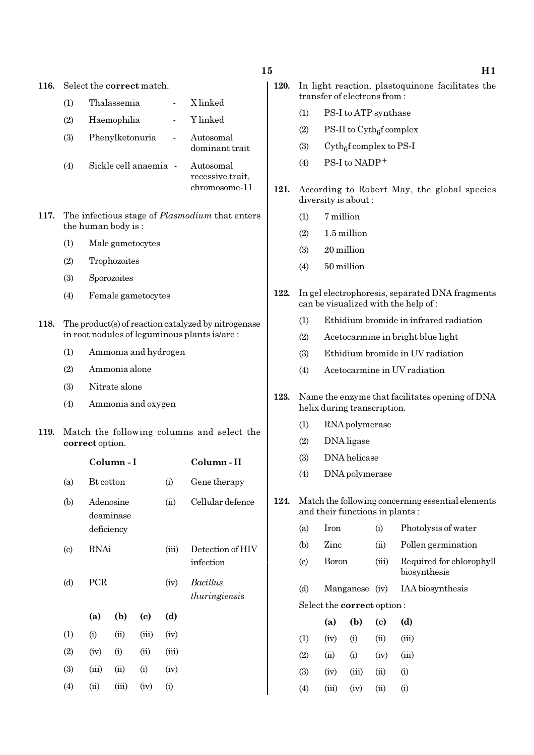| 116. |                                                                                                     |                                      |                 | Select the <b>correct</b> match. |       |                                                |  |  |  |
|------|-----------------------------------------------------------------------------------------------------|--------------------------------------|-----------------|----------------------------------|-------|------------------------------------------------|--|--|--|
|      | (1)                                                                                                 |                                      | Thalassemia     |                                  |       | X linked                                       |  |  |  |
|      | (2)                                                                                                 |                                      | Haemophilia     |                                  |       | Y linked                                       |  |  |  |
|      | (3)                                                                                                 |                                      | Phenylketonuria |                                  |       | Autosomal<br>dominant trait                    |  |  |  |
|      | (4)                                                                                                 |                                      |                 | Sickle cell anaemia -            |       | Autosomal<br>recessive trait,<br>chromosome-11 |  |  |  |
| 117. | The infectious stage of <i>Plasmodium</i> that enters<br>the human body is:                         |                                      |                 |                                  |       |                                                |  |  |  |
|      | (1)                                                                                                 |                                      |                 | Male gametocytes                 |       |                                                |  |  |  |
|      | (2)                                                                                                 |                                      | Trophozoites    |                                  |       |                                                |  |  |  |
|      | (3)                                                                                                 |                                      | Sporozoites     |                                  |       |                                                |  |  |  |
|      | (4)                                                                                                 |                                      |                 | Female gametocytes               |       |                                                |  |  |  |
| 118. | The product(s) of reaction catalyzed by nitrogenase<br>in root nodules of leguminous plants is/are: |                                      |                 |                                  |       |                                                |  |  |  |
|      | (1)                                                                                                 | Ammonia and hydrogen                 |                 |                                  |       |                                                |  |  |  |
|      | (2)                                                                                                 |                                      | Ammonia alone   |                                  |       |                                                |  |  |  |
|      | (3)                                                                                                 |                                      | Nitrate alone   |                                  |       |                                                |  |  |  |
|      | (4)                                                                                                 |                                      |                 | Ammonia and oxygen               |       |                                                |  |  |  |
| 119. |                                                                                                     | correct option.                      |                 |                                  |       | Match the following columns and select the     |  |  |  |
|      |                                                                                                     |                                      | Column - I      |                                  |       | Column-II                                      |  |  |  |
|      | (a)                                                                                                 | <b>Bt</b> cotton                     |                 |                                  | (i)   | Gene therapy                                   |  |  |  |
|      | (b)                                                                                                 | Adenosine<br>deaminase<br>deficiency |                 |                                  | (ii)  | Cellular defence                               |  |  |  |
|      | $\left( \text{c} \right)$                                                                           | RNAi                                 |                 |                                  | (iii) | Detection of HIV<br>infection                  |  |  |  |
|      | (d)                                                                                                 | PCR                                  |                 |                                  | (iv)  | Bacillus<br>thuringiensis                      |  |  |  |
|      |                                                                                                     | (a)                                  | (b)             | (c)                              | (d)   |                                                |  |  |  |
|      | (1)                                                                                                 | (i)                                  | (ii)            | (iii)                            | (iv)  |                                                |  |  |  |
|      | (2)                                                                                                 | (iv)                                 | (i)             | (ii)                             | (iii) |                                                |  |  |  |
|      | (3)                                                                                                 | (iii)                                | (ii)            | (i)                              | (iv)  |                                                |  |  |  |
|      | (4)                                                                                                 | (ii)                                 | (iii)           | (iv)                             | (i)   |                                                |  |  |  |

| 15  |      |                                                                                |                                                                                 |                                       |       | H 1.                                                                                   |  |  |
|-----|------|--------------------------------------------------------------------------------|---------------------------------------------------------------------------------|---------------------------------------|-------|----------------------------------------------------------------------------------------|--|--|
|     | 120. |                                                                                | In light reaction, plastoquinone facilitates the<br>transfer of electrons from: |                                       |       |                                                                                        |  |  |
|     |      | PS-I to ATP synthase<br>(1)                                                    |                                                                                 |                                       |       |                                                                                        |  |  |
|     |      | (2)                                                                            |                                                                                 | PS-II to $\mathrm{Cytb}_6$ f complex  |       |                                                                                        |  |  |
|     |      | (3)                                                                            |                                                                                 | $\mathrm{Cytb}_{6}$ f complex to PS-I |       |                                                                                        |  |  |
|     |      | (4)                                                                            |                                                                                 | PS-I to NADP+                         |       |                                                                                        |  |  |
|     | 121. |                                                                                |                                                                                 | diversity is about:                   |       | According to Robert May, the global species                                            |  |  |
|     |      | (1)                                                                            | 7 million                                                                       |                                       |       |                                                                                        |  |  |
|     |      | (2)                                                                            |                                                                                 | 1.5 million                           |       |                                                                                        |  |  |
|     |      | (3)                                                                            | 20 million                                                                      |                                       |       |                                                                                        |  |  |
|     |      | (4)                                                                            | 50 million                                                                      |                                       |       |                                                                                        |  |  |
|     | 122. |                                                                                |                                                                                 |                                       |       | In gel electrophoresis, separated DNA fragments<br>can be visualized with the help of: |  |  |
|     |      | Ethidium bromide in infrared radiation<br>(1)                                  |                                                                                 |                                       |       |                                                                                        |  |  |
|     |      | (2)<br>Acetocarmine in bright blue light                                       |                                                                                 |                                       |       |                                                                                        |  |  |
| (3) |      |                                                                                |                                                                                 | Ethidium bromide in UV radiation      |       |                                                                                        |  |  |
|     |      | (4)                                                                            |                                                                                 |                                       |       | Acetocarmine in UV radiation                                                           |  |  |
|     | 123. | Name the enzyme that facilitates opening of DNA<br>helix during transcription. |                                                                                 |                                       |       |                                                                                        |  |  |
|     |      | (1)                                                                            |                                                                                 | RNA polymerase                        |       |                                                                                        |  |  |
|     |      | (2)                                                                            | DNA ligase                                                                      |                                       |       |                                                                                        |  |  |
|     |      | DNA helicase<br>(3)                                                            |                                                                                 |                                       |       |                                                                                        |  |  |
|     |      | (4)                                                                            |                                                                                 | DNA polymerase                        |       |                                                                                        |  |  |
|     | 124. |                                                                                |                                                                                 | and their functions in plants:        |       | Match the following concerning essential elements                                      |  |  |
|     |      | (a)                                                                            | <b>Iron</b>                                                                     |                                       | (i)   | Photolysis of water                                                                    |  |  |
|     |      | (b)                                                                            | Zinc                                                                            |                                       | (ii)  | Pollen germination                                                                     |  |  |
|     |      | $\left( \mathrm{c} \right)$                                                    | <b>Boron</b>                                                                    |                                       | (iii) | Required for chlorophyll<br>biosynthesis                                               |  |  |
|     |      | (d)                                                                            |                                                                                 | Manganese                             | (iv)  | IAA biosynthesis                                                                       |  |  |
|     |      |                                                                                |                                                                                 | Select the <b>correct</b> option:     |       |                                                                                        |  |  |
|     |      |                                                                                | (a)                                                                             | (b)                                   | (c)   | (d)                                                                                    |  |  |
|     |      |                                                                                |                                                                                 |                                       |       |                                                                                        |  |  |

|                   | 1a j  | 1 N J    | ぃ    | $\mathbf{u}$ |
|-------------------|-------|----------|------|--------------|
| $\left(1\right)$  | (iv)  | $\rm(i)$ | (ii) | (iii)        |
| (2)               | (ii)  | (i)      | (iv) | (iii)        |
| (3)               | (iv)  | (iii)    | (ii) | (i)          |
| $\left( 4\right)$ | (iii) | (iv)     | (ii) | $\rm (i)$    |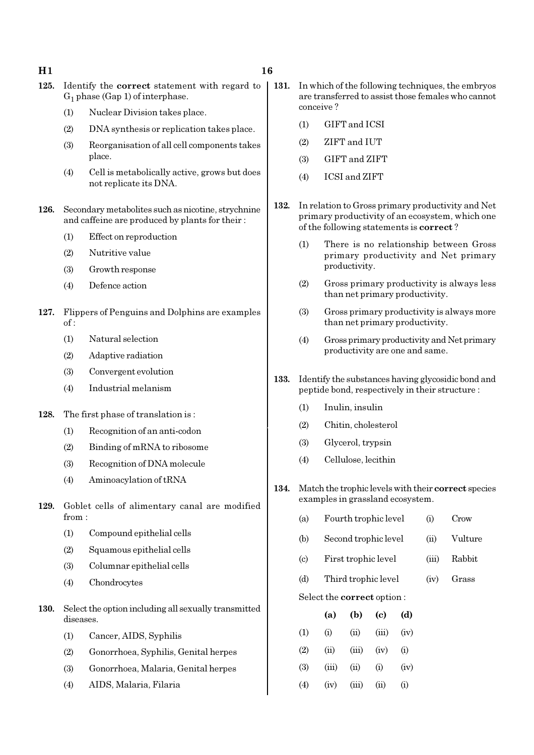- 125. Identify the correct statement with regard to  $G_1$  phase (Gap 1) of interphase.
	- (1) Nuclear Division takes place.
	- (2) DNA synthesis or replication takes place.
	- (3) Reorganisation of all cell components takes place.
	- (4) Cell is metabolically active, grows but does not replicate its DNA.
- 126. Secondary metabolites such as nicotine, strychnine and caffeine are produced by plants for their :
	- (1) Effect on reproduction
	- (2) Nutritive value
	- (3) Growth response
	- (4) Defence action
- 127. Flippers of Penguins and Dolphins are examples of :
	- (1) Natural selection
	- (2) Adaptive radiation
	- (3) Convergent evolution
	- (4) Industrial melanism
- 128. The first phase of translation is :
	- (1) Recognition of an anti-codon
	- (2) Binding of mRNA to ribosome
	- (3) Recognition of DNA molecule
	- (4) Aminoacylation of tRNA
- 129. Goblet cells of alimentary canal are modified from :
	- (1) Compound epithelial cells
	- (2) Squamous epithelial cells
	- (3) Columnar epithelial cells
	- (4) Chondrocytes
- 130. Select the option including all sexually transmitted diseases.
	- (1) Cancer, AIDS, Syphilis
	- (2) Gonorrhoea, Syphilis, Genital herpes
	- (3) Gonorrhoea, Malaria, Genital herpes
	- (4) AIDS, Malaria, Filaria
- 131. In which of the following techniques, the embryos are transferred to assist those females who cannot conceive ?
	- (1) GIFT and ICSI
	- (2) ZIFT and IUT
	- (3) GIFT and ZIFT
	- (4) ICSI and ZIFT
- 132. In relation to Gross primary productivity and Net primary productivity of an ecosystem, which one of the following statements is correct ?
	- (1) There is no relationship between Gross primary productivity and Net primary productivity.
	- (2) Gross primary productivity is always less than net primary productivity.
	- (3) Gross primary productivity is always more than net primary productivity.
	- (4) Gross primary productivity and Net primary productivity are one and same.
- 133. Identify the substances having glycosidic bond and peptide bond, respectively in their structure :
	- (1) Inulin, insulin
	- (2) Chitin, cholesterol
	- (3) Glycerol, trypsin
	- (4) Cellulose, lecithin
- 134. Match the trophic levels with their correct species examples in grassland ecosystem.
	- (a) Fourth trophic level (i) Crow
	- (b) Second trophic level (ii) Vulture
	- (c) First trophic level (iii) Rabbit
	- (d) Third trophic level (iv) Grass

Select the correct option :

|                   | (a)   | (b)   | (c)      | (d)      |
|-------------------|-------|-------|----------|----------|
| $\left( 1\right)$ | (i)   | (ii)  | (iii)    | (iv)     |
| (2)               | (ii)  | (iii) | (iv)     | $\rm(i)$ |
| (3)               | (iii) | (ii)  | $\rm(i)$ | (iv)     |
| $\left( 4\right)$ | (iv)  | (iii) | (ii)     | (i)      |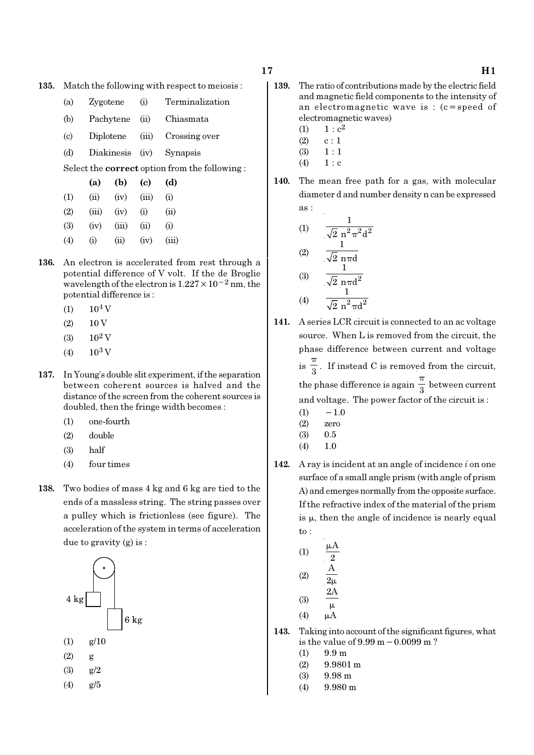- 135. Match the following with respect to meiosis :
	- (a) Zygotene (i) Terminalization
	- (b) Pachytene (ii) Chiasmata
	- (c) Diplotene (iii) Crossing over
	- (d) Diakinesis (iv) Synapsis

Select the correct option from the following :

|     | (a)   | (b)   | (c)       | (d)   |
|-----|-------|-------|-----------|-------|
| (1) | (ii)  | (iv)  | (iii)     | (i)   |
| (2) | (iii) | (iv)  | $\rm (i)$ | (ii)  |
| (3) | (iv)  | (iii) | (ii)      | (i)   |
| (4) | (i)   | (ii)  | (iv)      | (iii) |

- 136. An electron is accelerated from rest through a potential difference of V volt. If the de Broglie wavelength of the electron is  $1.227 \times 10^{-2}$  nm, the potential difference is :
	- $(1)$  10<sup>4</sup> V
	- $(2) 10 V$
	- $(3)$  10<sup>2</sup> V
	- (4)  $10^3$  V
- 137. In Young's double slit experiment, if the separation between coherent sources is halved and the distance of the screen from the coherent sources is doubled, then the fringe width becomes :
	- (1) one-fourth
	- (2) double
	- (3) half
	- (4) four times
- 138. Two bodies of mass 4 kg and 6 kg are tied to the ends of a massless string. The string passes over a pulley which is frictionless (see figure). The acceleration of the system in terms of acceleration due to gravity (g) is :



(4) g/5

- 
- 139. The ratio of contributions made by the electric field and magnetic field components to the intensity of an electromagnetic wave is : (c=speed of electromagnetic waves)
	- (1)  $1 : c^2$
	- $(2)$  c : 1
	- $(3) \quad 1 : 1$
	- $(4) 1 : c$
- 140. The mean free path for a gas, with molecular diameter d and number density n can be expressed

as:  
\n(1) 
$$
\frac{1}{\sqrt{2} n^2 \pi^2 d^2}
$$
\n(2) 
$$
\frac{1}{\sqrt{2} n \pi d}
$$
\n(3) 
$$
\frac{1}{\sqrt{2} n \pi d^2}
$$

$$
(4) \qquad \frac{1}{\sqrt{2} \pi^2 \pi d^2}
$$

- 141. A series LCR circuit is connected to an ac voltage source. When L is removed from the circuit, the phase difference between current and voltage  $is \frac{1}{3}$ π . If instead C is removed from the circuit, the phase difference is again  $\frac{1}{3}$ π between current and voltage. The power factor of the circuit is :
	- $(1)$  − 1.0
	- (2) zero
	- (3) 0.5
	- (4) 1.0
- 142. A ray is incident at an angle of incidence  $i$  on one surface of a small angle prism (with angle of prism A) and emerges normally from the opposite surface. If the refractive index of the material of the prism is  $\mu$ , then the angle of incidence is nearly equal to :

(1) 
$$
\frac{\mu A}{2}
$$
  
\n(2)  $\frac{A}{2\mu}$   
\n(3)  $\frac{2A}{\mu}$   
\n(4)  $\mu A$ 

- 143. Taking into account of the significant figures, what is the value of 9.99 m−0.0099 m ?
	- $(1)$  9.9 m
	- $(2)$  9.9801 m
	- (3) 9.98 m
	- (4) 9.980 m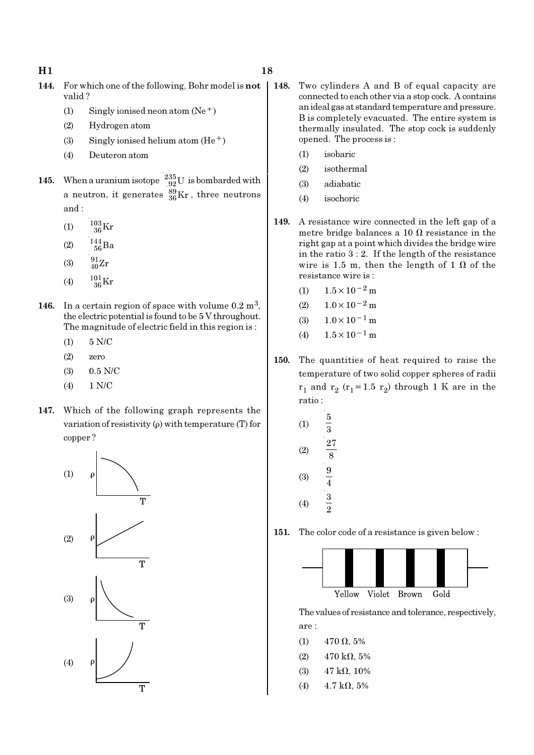- 144. For which one of the following, Bohr model is not valid ?
	- (1) Singly ionised neon atom  $(Ne^+)$
	- (2) Hydrogen atom
	- (3) Singly ionised helium atom  $(He<sup>+</sup>)$
	- (4) Deuteron atom
- **145.** When a uranium isotope  $^{235}_{92}$ U is bombarded with a neutron, it generates  $^{89}_{36}\text{Kr}$  , three neutrons and :
	- (1)  $\frac{103}{36}$ Kr
	- (2)  $\frac{144}{56}Ba$
	- (3)  $\frac{91}{40}Zr$
	- (4)  $\frac{101}{36}$ Kr
- 146. In a certain region of space with volume  $0.2 \text{ m}^3$ , the electric potential is found to be 5 V throughout. The magnitude of electric field in this region is :
	- (1) 5 N/C
	- (2) zero
	- (3) 0.5 N/C
	- (4) 1 N/C
- 147. Which of the following graph represents the variation of resistivity  $(\rho)$  with temperature (T) for copper ?



- (1) isobaric
- (2) isothermal

opened. The process is :

- (3) adiabatic
- (4) isochoric
- 149. A resistance wire connected in the left gap of a metre bridge balances a 10  $\Omega$  resistance in the right gap at a point which divides the bridge wire in the ratio 3 : 2. If the length of the resistance wire is 1.5 m, then the length of 1  $\Omega$  of the resistance wire is :
	- (1)  $1.5 \times 10^{-2}$  m
	- $(2)$  1.0×10<sup>-2</sup> m
	- $(3)$  1.0×10<sup>-1</sup> m
	- (4)  $1.5 \times 10^{-1}$  m
- 150. The quantities of heat required to raise the temperature of two solid copper spheres of radii  $r_1$  and  $r_2$  ( $r_1$ =1.5  $r_2$ ) through 1 K are in the ratio :
	- (1) 5  $\overline{3}$ (2) 27 8 (3)  $\frac{9}{4}$ (4)  $\frac{3}{4}$  $\overline{2}$

151. The color code of a resistance is given below :



The values of resistance and tolerance, respectively, are :

- (1)  $470 \Omega, 5\%$
- (2)  $470 \text{ k}\Omega, 5\%$
- (3) 47 kΩ, 10%
- (4)  $4.7 \text{ k}\Omega, 5\%$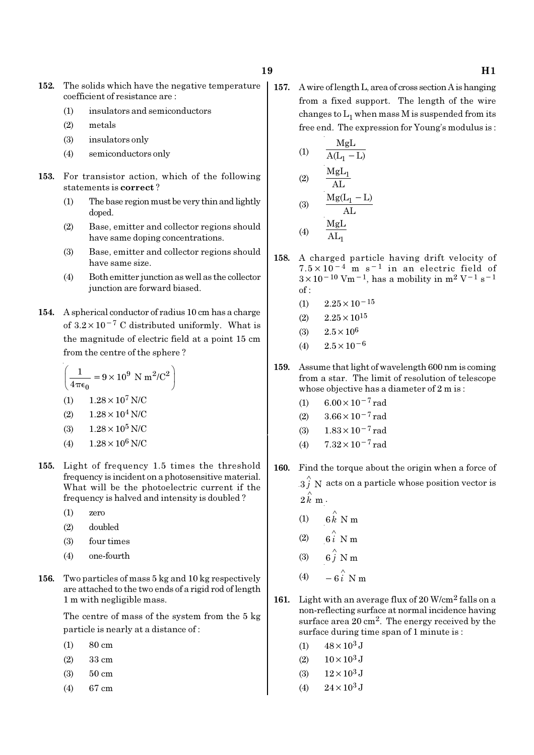- 152. The solids which have the negative temperature coefficient of resistance are :
	- (1) insulators and semiconductors
	- (2) metals
	- (3) insulators only
	- (4) semiconductors only
- 153. For transistor action, which of the following statements is correct ?
	- (1) The base region must be very thin and lightly doped.
	- (2) Base, emitter and collector regions should have same doping concentrations.
	- (3) Base, emitter and collector regions should have same size.
	- (4) Both emitter junction as well as the collector junction are forward biased.
- 154. A spherical conductor of radius 10 cm has a charge of  $3.2 \times 10^{-7}$  C distributed uniformly. What is the magnitude of electric field at a point 15 cm from the centre of the sphere ?

$$
\left(\frac{1}{4\pi\epsilon_0} = 9 \times 10^9 \text{ N m}^2/\text{C}^2\right)
$$
  
(1) 1.28 × 10<sup>7</sup> N/C  
(2) 1.28 × 10<sup>4</sup> N/C

- (3)  $1.28 \times 10^5$  N/C
- (4)  $1.28 \times 10^6$  N/C
- 155. Light of frequency 1.5 times the threshold frequency is incident on a photosensitive material. What will be the photoelectric current if the frequency is halved and intensity is doubled ?
	- (1) zero
	- (2) doubled
	- (3) four times
	- (4) one-fourth
- 156. Two particles of mass 5 kg and 10 kg respectively are attached to the two ends of a rigid rod of length 1 m with negligible mass.

The centre of mass of the system from the 5 kg particle is nearly at a distance of :

- (1) 80 cm
- (2) 33 cm
- (3) 50 cm
- (4) 67 cm

157. A wire of length L, area of cross section A is hanging from a fixed support. The length of the wire changes to  $\mathrm{L}_1$  when mass M is suspended from its free end. The expression for Young's modulus is :

(1) 
$$
\frac{MgL}{A(L_1 - L)}
$$
  
\n(2)  $\frac{MgL_1}{AL}$   
\n(3)  $\frac{Mg(L_1 - L)}{AL}$ 

$$
(4) \qquad \frac{\text{MgL}}{\text{AL}_1}
$$

- 158. A charged particle having drift velocity of 7.5×10−4 m s−1 in an electric field of  $3\times10^{-10}$  Vm<sup>-1</sup>, has a mobility in m<sup>2</sup> V<sup>-1</sup> s<sup>-1</sup> of :
	- $(1)$  2.25×10<sup>-15</sup>
	- $(2)$   $2.25 \times 10^{15}$
	- (3)  $2.5 \times 10^6$
	- (4)  $2.5 \times 10^{-6}$
- 159. Assume that light of wavelength 600 nm is coming from a star. The limit of resolution of telescope whose objective has a diameter of 2 m is :
	- (1)  $6.00 \times 10^{-7}$  rad
	- (2)  $3.66 \times 10^{-7}$  rad
	- (3)  $1.83 \times 10^{-7}$  rad
	- (4)  $7.32 \times 10^{-7}$  rad
- 160. Find the torque about the origin when a force of  $\overset{\wedge}{3}$  N acts on a particle whose position vector is  $2 \hat{k}$  m.
	- (1)  $6 \hat{k}$  N m
	- (2)  $6i \stackrel{\wedge}{\smash{\wedge}} Nm$
	- $(3)$
	- $(4)$ ∧ −

∧

- 161. Light with an average flux of  $20$  W/cm<sup>2</sup> falls on a non-reflecting surface at normal incidence having surface area 20 cm2. The energy received by the surface during time span of 1 minute is :
	- (1)  $48 \times 10^3$  J
	- (2)  $10 \times 10^3$  J
	- (3)  $12 \times 10^3$  J
	- (4)  $24 \times 10^3$  J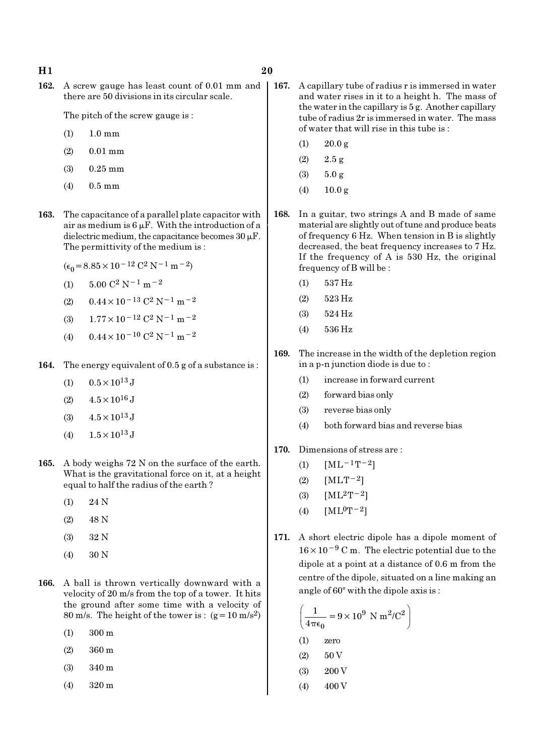162. A screw gauge has least count of 0.01 mm and | there are 50 divisions in its circular scale.

The pitch of the screw gauge is :

- (1) 1.0 mm
- (2) 0.01 mm
- (3) 0.25 mm
- (4) 0.5 mm
- 163. The capacitance of a parallel plate capacitor with air as medium is  $6 \mu$ F. With the introduction of a dielectric medium, the capacitance becomes  $30 \mu$ F. The permittivity of the medium is :
	- $(\epsilon_0 = 8.85 \times 10^{-12} \text{ C}^2 \text{ N}^{-1} \text{ m}^{-2})$
	- (1)  $5.00 \text{ C}^2 \text{ N}^{-1} \text{ m}^{-2}$
	- (2)  $0.44 \times 10^{-13}$  C<sup>2</sup> N<sup>-1</sup> m<sup>-2</sup>
	- (3)  $1.77 \times 10^{-12}$  C<sup>2</sup> N<sup>-1</sup> m<sup>-2</sup>
	- (4)  $0.44 \times 10^{-10}$  C<sup>2</sup> N<sup>-1</sup> m<sup>-2</sup>
- 164. The energy equivalent of 0.5 g of a substance is :
	- (1)  $0.5 \times 10^{13}$  J
	- $(2)$  4.5  $\times$  10<sup>16</sup> J
	- (3)  $4.5 \times 10^{13}$  J
	- (4)  $1.5 \times 10^{13}$  J
- 165. A body weighs 72 N on the surface of the earth. What is the gravitational force on it, at a height equal to half the radius of the earth ?
	- (1) 24 N
	- (2) 48 N
	- (3) 32 N
	- (4) 30 N
- 166. A ball is thrown vertically downward with a velocity of 20 m/s from the top of a tower. It hits the ground after some time with a velocity of 80 m/s. The height of the tower is :  $(g=10 \text{ m/s}^2)$ 
	- (1) 300 m
	- (2) 360 m
	- (3) 340 m
	- (4) 320 m
- 167. A capillary tube of radius r is immersed in water and water rises in it to a height h. The mass of the water in the capillary is 5 g. Another capillary tube of radius 2r is immersed in water. The mass of water that will rise in this tube is :
	- $(1)$  20.0 g
	- (2) 2.5 g
	- (3) 5.0 g
	- (4) 10.0 g
- 168. In a guitar, two strings A and B made of same material are slightly out of tune and produce beats of frequency 6 Hz. When tension in B is slightly decreased, the beat frequency increases to 7 Hz. If the frequency of A is 530 Hz, the original frequency of B will be :
	- (1) 537 Hz
	- (2) 523 Hz
	- (3) 524 Hz
	- (4) 536 Hz
- 169. The increase in the width of the depletion region in a p-n junction diode is due to :
	- (1) increase in forward current
	- (2) forward bias only
	- (3) reverse bias only
	- (4) both forward bias and reverse bias
- 170. Dimensions of stress are :
	- (1)  $[ML^{-1}T^{-2}]$
	- (2)  $[MLT^{-2}]$
	- (3)  $[ML^2T^{-2}]$
	- (4)  $[ML^0T^{-2}]$
- 171. A short electric dipole has a dipole moment of 16×10−<sup>9</sup> C m. The electric potential due to the dipole at a point at a distance of 0.6 m from the centre of the dipole, situated on a line making an angle of  $60^\circ$  with the dipole axis is :

$$
\left(\frac{1}{4\pi\epsilon_0} = 9 \times 10^9 \text{ N m}^2/\text{C}^2\right)
$$
  
(1) zero  
(2) 50 V  
(3) 200 V

 $(4)$  400 V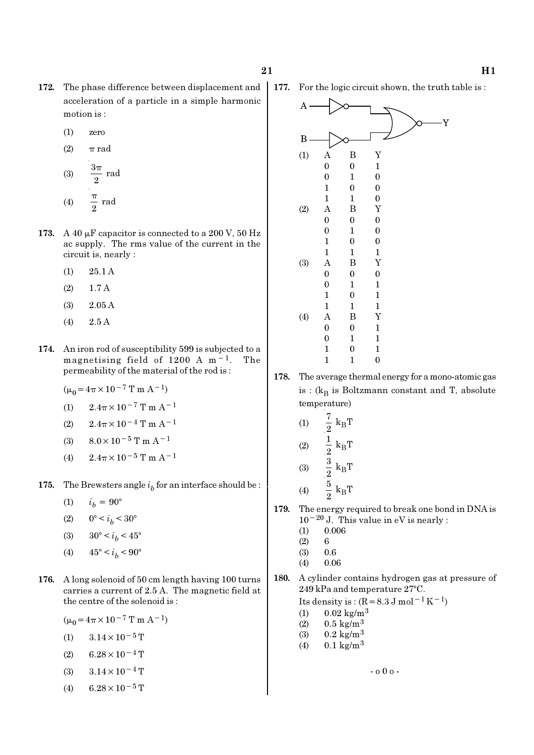- 172. The phase difference between displacement and acceleration of a particle in a simple harmonic motion is :
	- (1) zero
	- (2)  $\pi$  rad
	- (3)  $\frac{3\pi}{2}$  rad π (4)  $\frac{\pi}{2}$  rad π
- 173. A 40  $\mu$ F capacitor is connected to a 200 V, 50 Hz ac supply. The rms value of the current in the circuit is, nearly :
	- (1) 25.1 A
	- (2) 1.7 A
	- (3) 2.05 A
	- (4) 2.5 A
- 174. An iron rod of susceptibility 599 is subjected to a magnetising field of 1200 A m−1. The permeability of the material of the rod is :
	- $(\mu_0 = 4\pi \times 10^{-7} \text{ T m A}^{-1})$
	- (1)  $2.4\pi \times 10^{-7}$  T m A<sup>-1</sup>
	- (2)  $2.4\pi \times 10^{-4}$  T m A<sup>-1</sup>
	- (3)  $8.0 \times 10^{-5}$  T m A<sup>-1</sup>
	- (4)  $2.4\pi \times 10^{-5}$  T m A<sup>-1</sup>
- **175.** The Brewsters angle  $i<sub>b</sub>$  for an interface should be :
	- (1)  $i_h = 90^\circ$
	- (2)  $0^{\circ} < i_b < 30^{\circ}$
	- (3)  $30^{\circ} < i_b < 45^{\circ}$
	- (4)  $45^{\circ} < i_b < 90^{\circ}$
- 176. A long solenoid of 50 cm length having 100 turns carries a current of 2.5 A. The magnetic field at the centre of the solenoid is :
	- $(\mu_0=4\pi\times10^{-7}$  T m A<sup>-1</sup>)
	- (1)  $3.14 \times 10^{-5}$  T
	- $(2)$  6.28 × 10<sup>-4</sup> T
	- (3)  $3.14 \times 10^{-4}$  T
	- (4) 6.28 × 10<sup>-5</sup> T



- 178. The average thermal energy for a mono-atomic gas is : ( $\rm{k_{B}}$  is Boltzmann constant and T, absolute temperature)
	- (1)  $\frac{1}{2}$  k<sub>B</sub>  $\frac{7}{2}$  k<sub>B</sub>T  $(2)$   $\frac{1}{2}$  k<sub>B</sub>  $\frac{1}{2} k_B T$ (3)  $\frac{3}{9}$  k<sub>B</sub>  $\frac{3}{2}$  k<sub>B</sub>T (4)  $\frac{3}{8}$  k<sub>B</sub>  $\frac{5}{2}$  k<sub>B</sub>T
- 179. The energy required to break one bond in DNA is 10−20 J. This value in eV is nearly :
	- $(1)$  0.006
	- $(2) 6$
	- (3) 0.6
	- (4) 0.06
- 180. A cylinder contains hydrogen gas at pressure of  $249$  kPa and temperature  $27^{\circ}$ C.

- o 0 o -

Its density is :  $(R=8.3 \text{ J mol}^{-1} \text{ K}^{-1})$ 

- (1)  $0.02 \text{ kg/m}^3$
- (2)  $0.5 \text{ kg/m}^3$
- (3)  $0.2 \text{ kg/m}^3$
- $(4)$  0.1 kg/m<sup>3</sup>

177. For the logic circuit shown, the truth table is :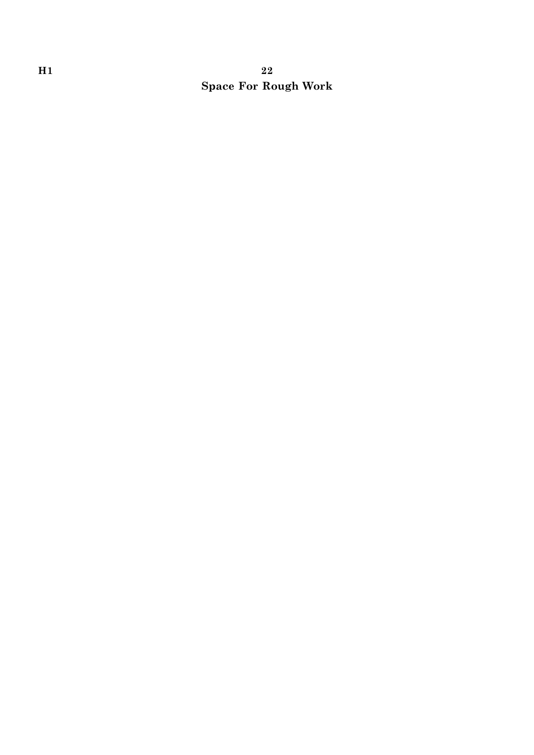# H<sub>1</sub>  $22$ Space For Rough Work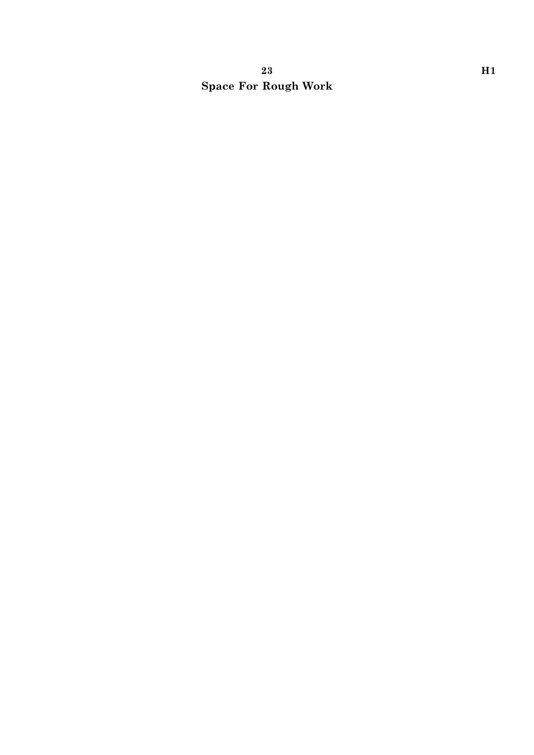# $23$  H1 Space For Rough Work